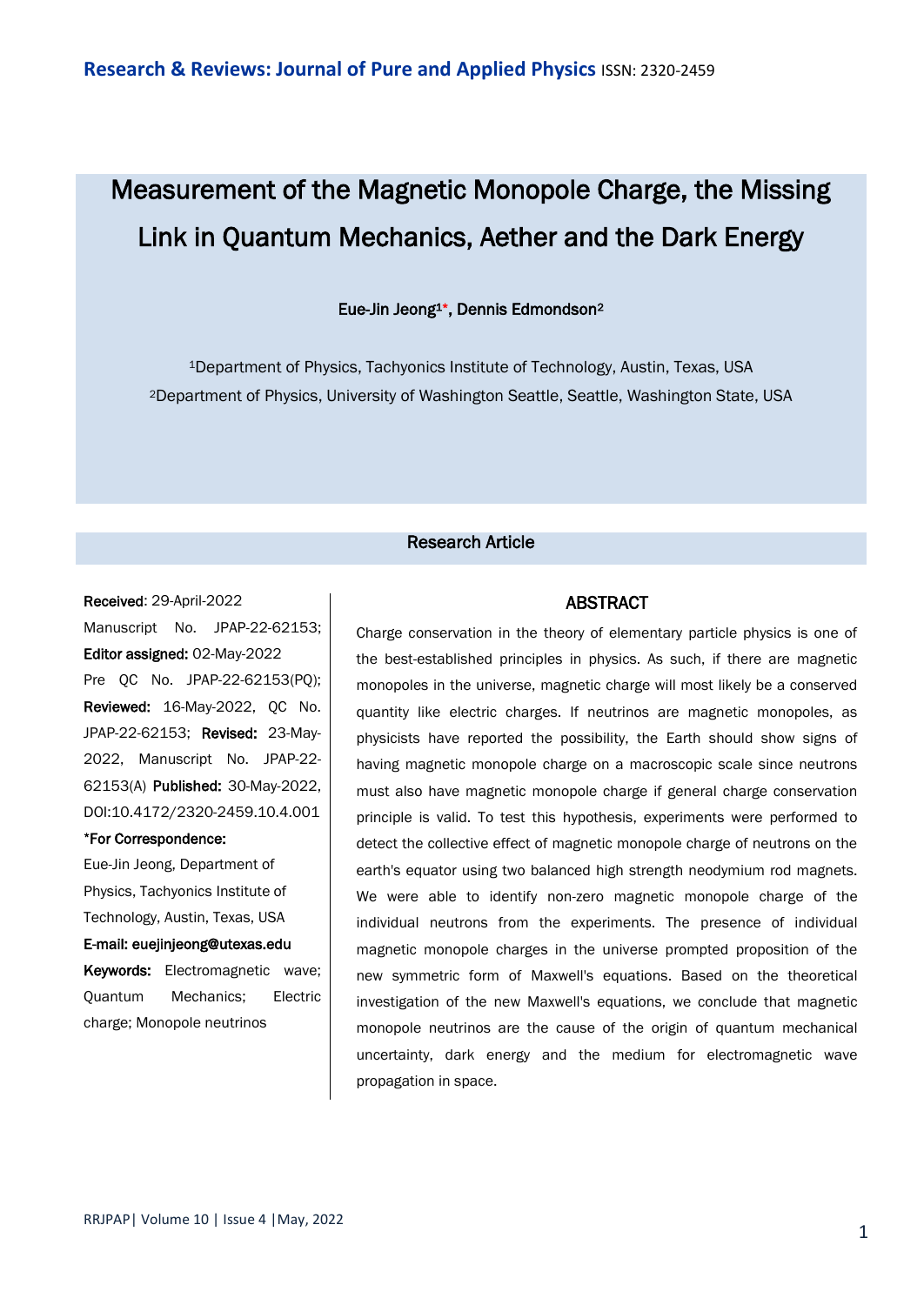# Measurement of the Magnetic Monopole Charge, the Missing Link in Quantum Mechanics, Aether and the Dark Energy

#### Eue-Jin Jeong1\*, Dennis Edmondson<sup>2</sup>

<sup>1</sup>Department of Physics, Tachyonics Institute of Technology, Austin, Texas, USA <sup>2</sup>Department of Physics, University of Washington Seattle, Seattle, Washington State, USA

### Research Article

#### Received: 29-April-2022

Manuscript No. JPAP-22-62153; Editor assigned: 02-May-2022 Pre QC No. JPAP-22-62153(PQ); Reviewed: 16-May-2022, QC No. JPAP-22-62153; Revised: 23-May-2022, Manuscript No. JPAP-22- 62153(A) Published: 30-May-2022, DOI:10.4172/2320-2459.10.4.001

#### \*For Correspondence:

Eue-Jin Jeong, Department of Physics, Tachyonics Institute of Technology, Austin, Texas, USA

#### E-mail: euejinjeong@utexas.edu

Keywords: Electromagnetic wave; Quantum Mechanics; Electric charge; Monopole neutrinos

#### ABSTRACT

Charge conservation in the theory of elementary particle physics is one of the best-established principles in physics. As such, if there are magnetic monopoles in the universe, magnetic charge will most likely be a conserved quantity like electric charges. If neutrinos are magnetic monopoles, as physicists have reported the possibility, the Earth should show signs of having magnetic monopole charge on a macroscopic scale since neutrons must also have magnetic monopole charge if general charge conservation principle is valid. To test this hypothesis, experiments were performed to detect the collective effect of magnetic monopole charge of neutrons on the earth's equator using two balanced high strength neodymium rod magnets. We were able to identify non-zero magnetic monopole charge of the individual neutrons from the experiments. The presence of individual magnetic monopole charges in the universe prompted proposition of the new symmetric form of Maxwell's equations. Based on the theoretical investigation of the new Maxwell's equations, we conclude that magnetic monopole neutrinos are the cause of the origin of quantum mechanical uncertainty, dark energy and the medium for electromagnetic wave propagation in space.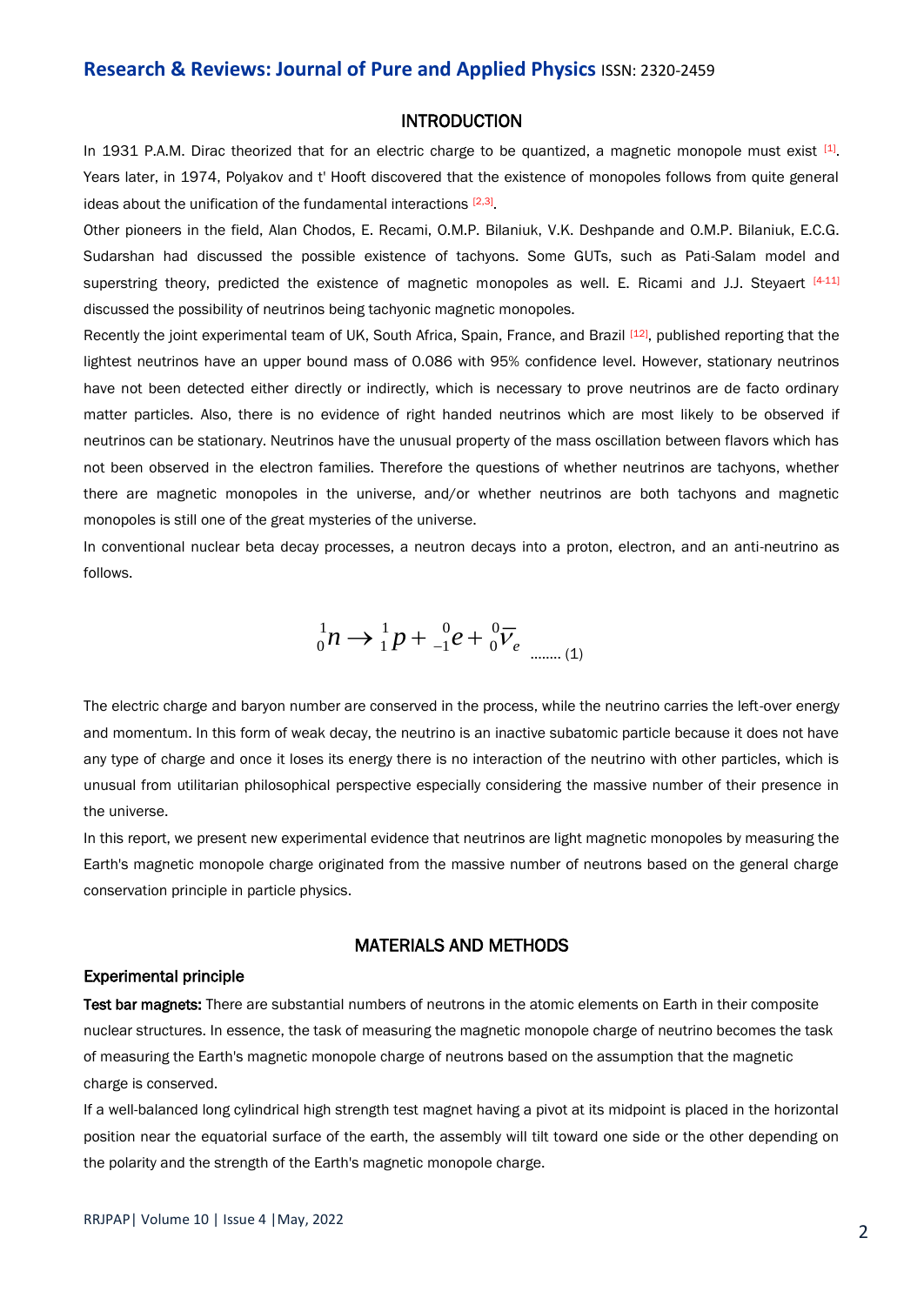#### INTRODUCTION

In 1931 P.A.M. Dirac theorized that for an electric charge to be quantized, a magnetic monopole must exist  $[1]$ . Years later, in 1974, Polyakov and t' Hooft discovered that the existence of monopoles follows from quite general ideas about the unification of the fundamental interactions  $[2,3]$ .

Other pioneers in the field, Alan Chodos, E. Recami, O.M.P. Bilaniuk, V.K. Deshpande and O.M.P. Bilaniuk, E.C.G. Sudarshan had discussed the possible existence of tachyons. Some GUTs, such as Pati-Salam model and superstring theory, predicted the existence of magnetic monopoles as well. E. Ricami and J.J. Steyaert [4-11] discussed the possibility of neutrinos being tachyonic magnetic monopoles.

Recently the joint experimental team of UK, South Africa, Spain, France, and Brazil [12], published reporting that the lightest neutrinos have an upper bound mass of 0.086 with 95% confidence level. However, stationary neutrinos have not been detected either directly or indirectly, which is necessary to prove neutrinos are de facto ordinary matter particles. Also, there is no evidence of right handed neutrinos which are most likely to be observed if neutrinos can be stationary. Neutrinos have the unusual property of the mass oscillation between flavors which has not been observed in the electron families. Therefore the questions of whether neutrinos are tachyons, whether there are magnetic monopoles in the universe, and/or whether neutrinos are both tachyons and magnetic monopoles is still one of the great mysteries of the universe.

In conventional nuclear beta decay processes, a neutron decays into a proton, electron, and an anti-neutrino as follows.

$$
{}_{0}^{1}n \rightarrow {}_{1}^{1}p + {}_{-1}^{0}e + {}_{0}^{0}\overline{V}_{e}
$$
 (1)

The electric charge and baryon number are conserved in the process, while the neutrino carries the left-over energy and momentum. In this form of weak decay, the neutrino is an inactive subatomic particle because it does not have any type of charge and once it loses its energy there is no interaction of the neutrino with other particles, which is unusual from utilitarian philosophical perspective especially considering the massive number of their presence in the universe.

In this report, we present new experimental evidence that neutrinos are light magnetic monopoles by measuring the Earth's magnetic monopole charge originated from the massive number of neutrons based on the general charge conservation principle in particle physics.

#### MATERIALS AND METHODS

#### Experimental principle

Test bar magnets: There are substantial numbers of neutrons in the atomic elements on Earth in their composite nuclear structures. In essence, the task of measuring the magnetic monopole charge of neutrino becomes the task of measuring the Earth's magnetic monopole charge of neutrons based on the assumption that the magnetic charge is conserved.

If a well-balanced long cylindrical high strength test magnet having a pivot at its midpoint is placed in the horizontal position near the equatorial surface of the earth, the assembly will tilt toward one side or the other depending on the polarity and the strength of the Earth's magnetic monopole charge.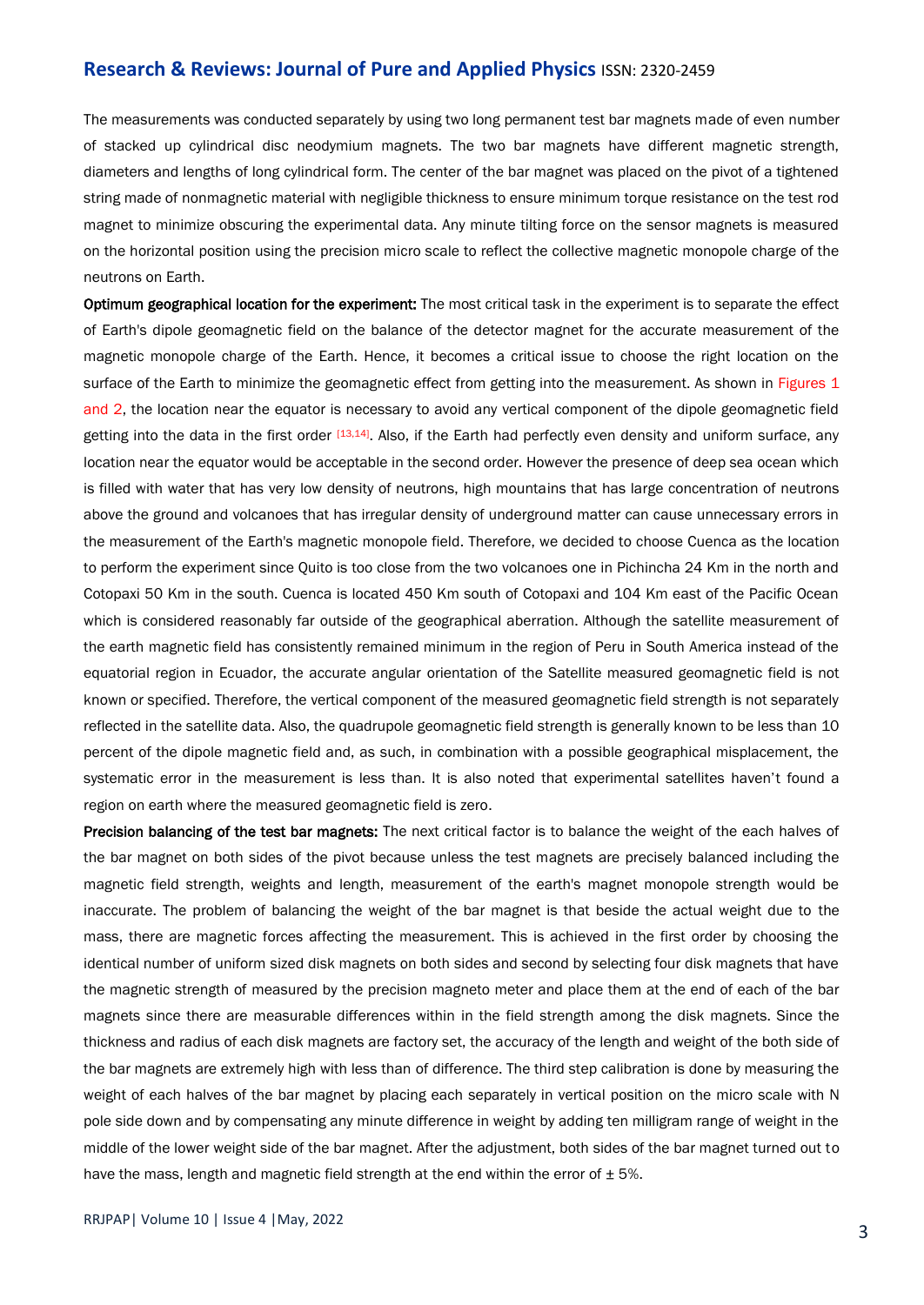The measurements was conducted separately by using two long permanent test bar magnets made of even number of stacked up cylindrical disc neodymium magnets. The two bar magnets have different magnetic strength, diameters and lengths of long cylindrical form. The center of the bar magnet was placed on the pivot of a tightened string made of nonmagnetic material with negligible thickness to ensure minimum torque resistance on the test rod magnet to minimize obscuring the experimental data. Any minute tilting force on the sensor magnets is measured on the horizontal position using the precision micro scale to reflect the collective magnetic monopole charge of the neutrons on Earth.

Optimum geographical location for the experiment: The most critical task in the experiment is to separate the effect of Earth's dipole geomagnetic field on the balance of the detector magnet for the accurate measurement of the magnetic monopole charge of the Earth. Hence, it becomes a critical issue to choose the right location on the surface of the Earth to minimize the geomagnetic effect from getting into the measurement. As shown in Figures 1 and 2, the location near the equator is necessary to avoid any vertical component of the dipole geomagnetic field getting into the data in the first order [13,14]. Also, if the Earth had perfectly even density and uniform surface, any location near the equator would be acceptable in the second order. However the presence of deep sea ocean which is filled with water that has very low density of neutrons, high mountains that has large concentration of neutrons above the ground and volcanoes that has irregular density of underground matter can cause unnecessary errors in the measurement of the Earth's magnetic monopole field. Therefore, we decided to choose Cuenca as the location to perform the experiment since Quito is too close from the two volcanoes one in Pichincha 24 Km in the north and Cotopaxi 50 Km in the south. Cuenca is located 450 Km south of Cotopaxi and 104 Km east of the Pacific Ocean which is considered reasonably far outside of the geographical aberration. Although the satellite measurement of the earth magnetic field has consistently remained minimum in the region of Peru in South America instead of the equatorial region in Ecuador, the accurate angular orientation of the Satellite measured geomagnetic field is not known or specified. Therefore, the vertical component of the measured geomagnetic field strength is not separately reflected in the satellite data. Also, the quadrupole geomagnetic field strength is generally known to be less than 10 percent of the dipole magnetic field and, as such, in combination with a possible geographical misplacement, the systematic error in the measurement is less than. It is also noted that experimental satellites haven't found a region on earth where the measured geomagnetic field is zero.

Precision balancing of the test bar magnets: The next critical factor is to balance the weight of the each halves of the bar magnet on both sides of the pivot because unless the test magnets are precisely balanced including the magnetic field strength, weights and length, measurement of the earth's magnet monopole strength would be inaccurate. The problem of balancing the weight of the bar magnet is that beside the actual weight due to the mass, there are magnetic forces affecting the measurement. This is achieved in the first order by choosing the identical number of uniform sized disk magnets on both sides and second by selecting four disk magnets that have the magnetic strength of measured by the precision magneto meter and place them at the end of each of the bar magnets since there are measurable differences within in the field strength among the disk magnets. Since the thickness and radius of each disk magnets are factory set, the accuracy of the length and weight of the both side of the bar magnets are extremely high with less than of difference. The third step calibration is done by measuring the weight of each halves of the bar magnet by placing each separately in vertical position on the micro scale with N pole side down and by compensating any minute difference in weight by adding ten milligram range of weight in the middle of the lower weight side of the bar magnet. After the adjustment, both sides of the bar magnet turned out to have the mass, length and magnetic field strength at the end within the error of  $\pm$  5%.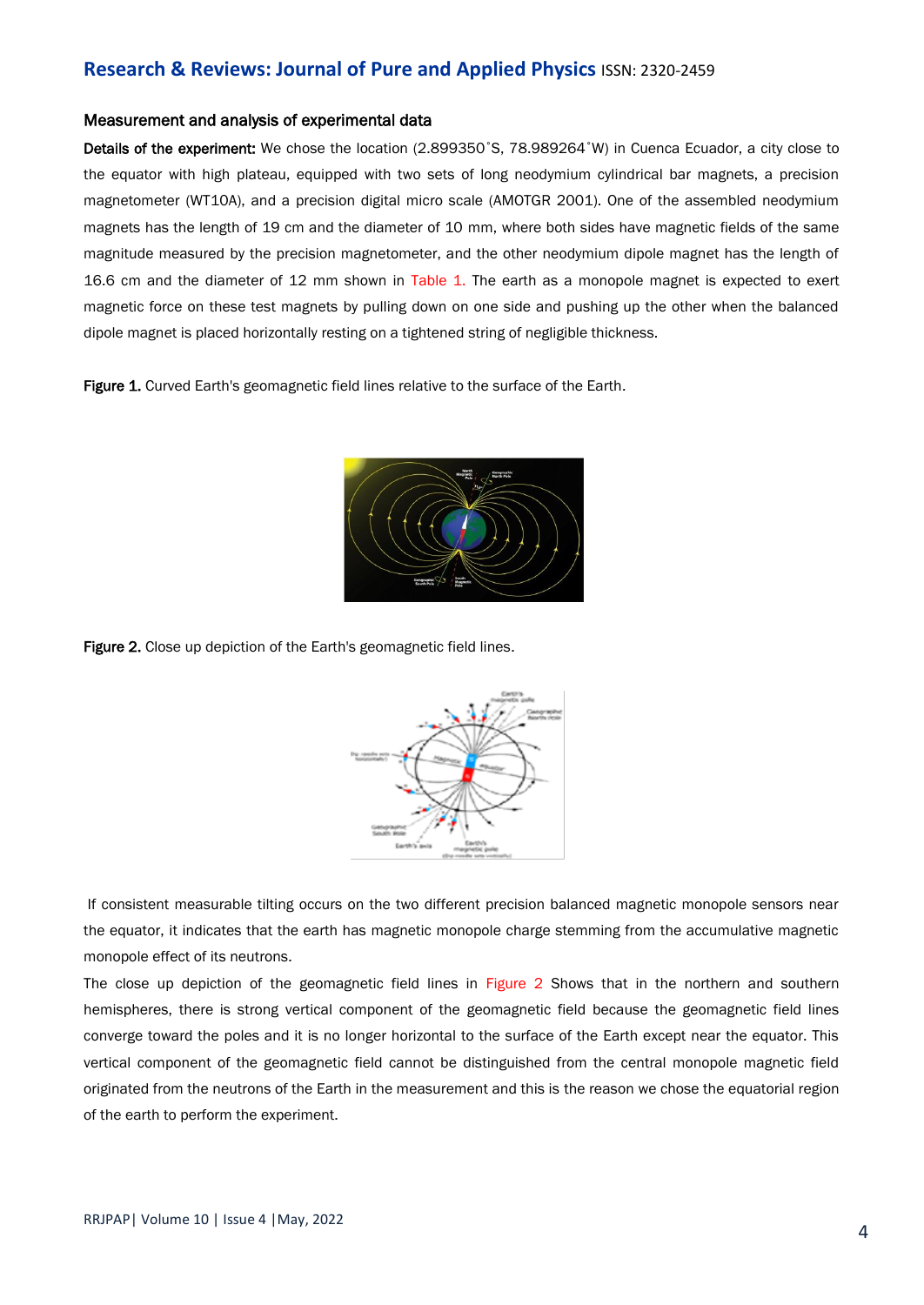#### Measurement and analysis of experimental data

Details of the experiment: We chose the location (2.899350°S, 78.989264°W) in Cuenca Ecuador, a city close to the equator with high plateau, equipped with two sets of long neodymium cylindrical bar magnets, a precision magnetometer (WT10A), and a precision digital micro scale (AMOTGR 2001). One of the assembled neodymium magnets has the length of 19 cm and the diameter of 10 mm, where both sides have magnetic fields of the same magnitude measured by the precision magnetometer, and the other neodymium dipole magnet has the length of 16.6 cm and the diameter of 12 mm shown in Table 1. The earth as a monopole magnet is expected to exert magnetic force on these test magnets by pulling down on one side and pushing up the other when the balanced dipole magnet is placed horizontally resting on a tightened string of negligible thickness.

Figure 1. Curved Earth's geomagnetic field lines relative to the surface of the Earth.



Figure 2. Close up depiction of the Earth's geomagnetic field lines.



If consistent measurable tilting occurs on the two different precision balanced magnetic monopole sensors near the equator, it indicates that the earth has magnetic monopole charge stemming from the accumulative magnetic monopole effect of its neutrons.

The close up depiction of the geomagnetic field lines in Figure 2 Shows that in the northern and southern hemispheres, there is strong vertical component of the geomagnetic field because the geomagnetic field lines converge toward the poles and it is no longer horizontal to the surface of the Earth except near the equator. This vertical component of the geomagnetic field cannot be distinguished from the central monopole magnetic field originated from the neutrons of the Earth in the measurement and this is the reason we chose the equatorial region of the earth to perform the experiment.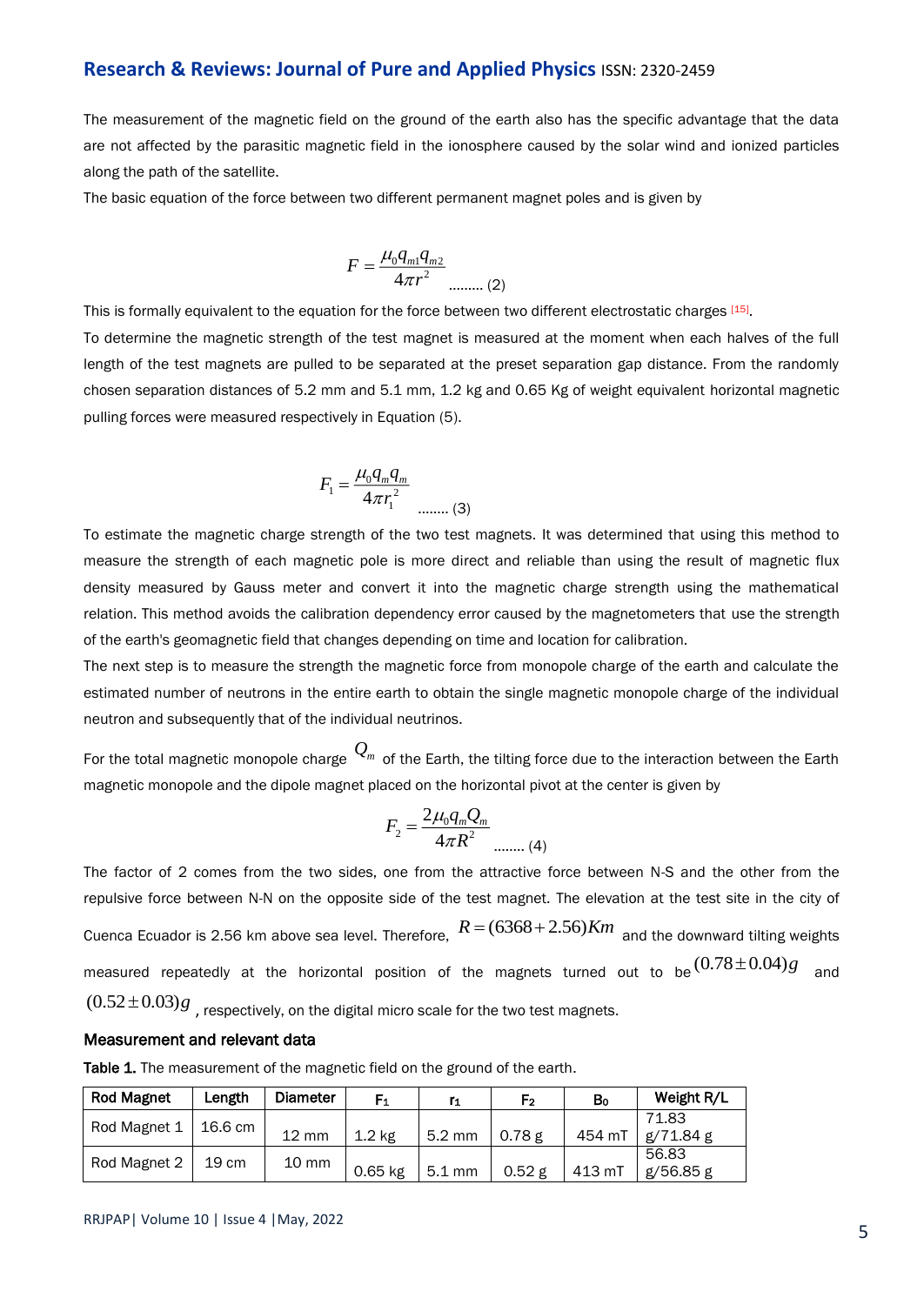The measurement of the magnetic field on the ground of the earth also has the specific advantage that the data are not affected by the parasitic magnetic field in the ionosphere caused by the solar wind and ionized particles along the path of the satellite.

The basic equation of the force between two different permanent magnet poles and is given by

$$
F = \frac{\mu_0 q_{m1} q_{m2}}{4\pi r^2}
$$
 (2)

This is formally equivalent to the equation for the force between two different electrostatic charges [15]. To determine the magnetic strength of the test magnet is measured at the moment when each halves of the full length of the test magnets are pulled to be separated at the preset separation gap distance. From the randomly chosen separation distances of 5.2 mm and 5.1 mm, 1.2 kg and 0.65 Kg of weight equivalent horizontal magnetic pulling forces were measured respectively in Equation (5).

$$
F_1 = \frac{\mu_0 q_m q_m}{4\pi r_1^2}
$$
 ...... (3)

To estimate the magnetic charge strength of the two test magnets. It was determined that using this method to measure the strength of each magnetic pole is more direct and reliable than using the result of magnetic flux density measured by Gauss meter and convert it into the magnetic charge strength using the mathematical relation. This method avoids the calibration dependency error caused by the magnetometers that use the strength of the earth's geomagnetic field that changes depending on time and location for calibration.

The next step is to measure the strength the magnetic force from monopole charge of the earth and calculate the estimated number of neutrons in the entire earth to obtain the single magnetic monopole charge of the individual neutron and subsequently that of the individual neutrinos.

For the total magnetic monopole charge  $\mathcal{Q}_m$  of the Earth, the tilting force due to the interaction between the Earth magnetic monopole and the dipole magnet placed on the horizontal pivot at the center is given by

$$
F_2 = \frac{2\mu_0 q_m Q_m}{4\pi R^2}
$$
 ...... (4)

The factor of 2 comes from the two sides, one from the attractive force between N-S and the other from the repulsive force between N-N on the opposite side of the test magnet. The elevation at the test site in the city of Cuenca Ecuador is 2.56 km above sea level. Therefore,  $R = (6368 + 2.56) Km$  and the downward tilting weights measured repeatedly at the horizontal position of the magnets turned out to be  $^{(0.78\pm 0.04)}s$  and  $(0.52\!\pm\! 0.03)g$   $_{,}$  respectively, on the digital micro scale for the two test magnets.

#### Measurement and relevant data

Table 1. The measurement of the magnetic field on the ground of the earth.

| <b>Rod Magnet</b> | Length  | <b>Diameter</b> | F <sub>1</sub>    | r <sub>1</sub>   | F2     | Bo     | Weight R/L |
|-------------------|---------|-----------------|-------------------|------------------|--------|--------|------------|
| Rod Magnet 1      | 16.6 cm |                 |                   |                  |        |        | 71.83      |
|                   |         | <b>12 mm</b>    | 1.2 <sub>ke</sub> | $5.2 \text{ mm}$ | 0.78 g | 454 mT | g/71.84 g  |
| Rod Magnet 2      | 19 cm   | 10 mm           |                   |                  |        |        | 56.83      |
|                   |         |                 | $0.65$ kg         | $5.1 \text{ mm}$ | 0.52g  | 413 mT | g/56.85 g  |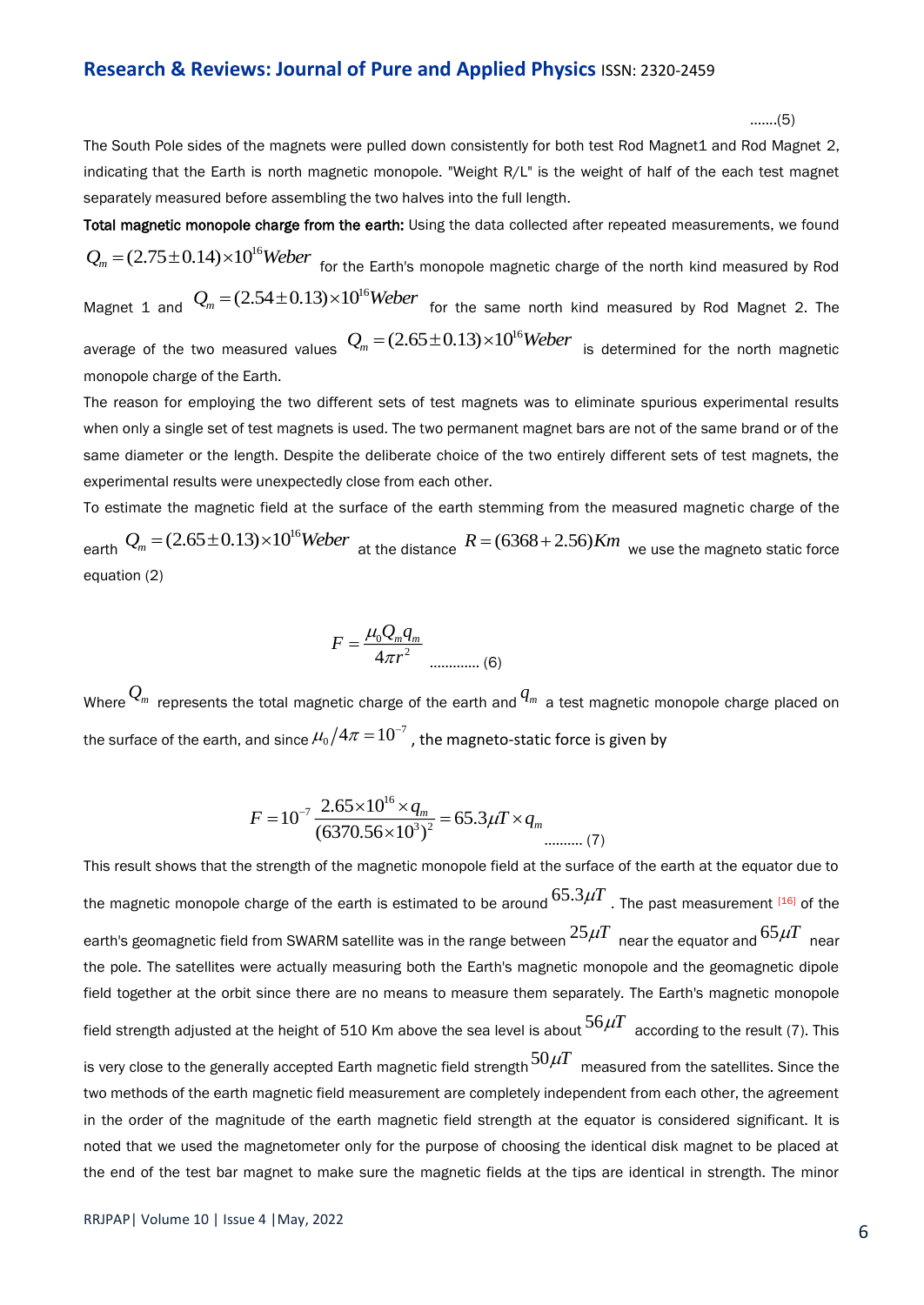…….(5)

The South Pole sides of the magnets were pulled down consistently for both test Rod Magnet1 and Rod Magnet 2, indicating that the Earth is north magnetic monopole. "Weight R/L" is the weight of half of the each test magnet separately measured before assembling the two halves into the full length.

Total magnetic monopole charge from the earth: Using the data collected after repeated measurements, we found  $\mathcal{Q}_m$  = (2.75  $\pm$  0.14) $\times 10^{16}$ Weber  $\,$  for the Earth's monopole magnetic charge of the north kind measured by Rod

Magnet 1 and  $Q_m = (2.54 \pm 0.13) \times 10^{16}$  *Weber* for the same north kind measured by Rod Magnet 2. The average of the two measured values  $Q_m = (2.65 \pm 0.13) \times 10^{16}$  *Weber* is determined for the north magnetic monopole charge of the Earth.

The reason for employing the two different sets of test magnets was to eliminate spurious experimental results when only a single set of test magnets is used. The two permanent magnet bars are not of the same brand or of the same diameter or the length. Despite the deliberate choice of the two entirely different sets of test magnets, the experimental results were unexpectedly close from each other.

To estimate the magnetic field at the surface of the earth stemming from the measured magnetic charge of the earth  $Q_m = (2.65 \pm 0.13) \times 10^{16}$ Weber<br>at the distance  $R = (6368 + 2.56)$ Km we use the magneto static force equation (2)

$$
F = \frac{\mu_0 Q_m q_m}{4\pi r^2}
$$
 (6)

Where  $\mathcal{Q}_m$  represents the total magnetic charge of the earth and  $q_m$  a test magnetic monopole charge placed on the surface of the earth, and since  $\mu_0/4\pi$   $=$   $10^{-7}$  , the magneto-static force is given by

$$
F = 10^{-7} \frac{2.65 \times 10^{16} \times q_m}{(6370.56 \times 10^3)^2} = 65.3 \mu T \times q_m
$$

This result shows that the strength of the magnetic monopole field at the surface of the earth at the equator due to the magnetic monopole charge of the earth is estimated to be around  $65.3\mu T$  . The past measurement [16] of the earth's geomagnetic field from SWARM satellite was in the range between  $^{25\mu T}$  near the equator and  $^{65\mu T}$  near the pole. The satellites were actually measuring both the Earth's magnetic monopole and the geomagnetic dipole field together at the orbit since there are no means to measure them separately. The Earth's magnetic monopole field strength adjusted at the height of 510 Km above the sea level is about  $^{56\mu T}$  according to the result (7). This is very close to the generally accepted Earth magnetic field strength  $^{50\mu T}$  measured from the satellites. Since the two methods of the earth magnetic field measurement are completely independent from each other, the agreement in the order of the magnitude of the earth magnetic field strength at the equator is considered significant. It is noted that we used the magnetometer only for the purpose of choosing the identical disk magnet to be placed at the end of the test bar magnet to make sure the magnetic fields at the tips are identical in strength. The minor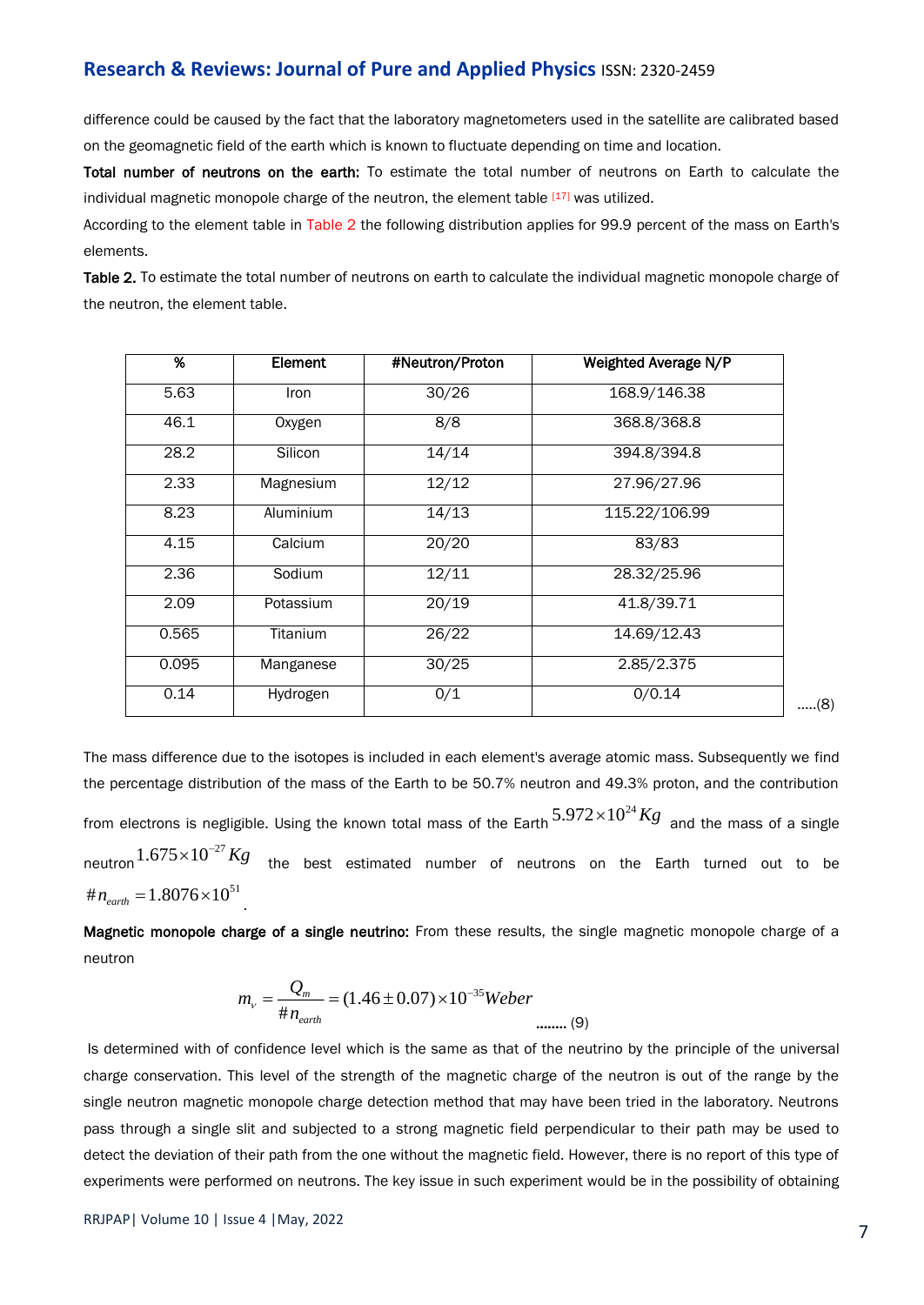difference could be caused by the fact that the laboratory magnetometers used in the satellite are calibrated based on the geomagnetic field of the earth which is known to fluctuate depending on time and location.

Total number of neutrons on the earth: To estimate the total number of neutrons on Earth to calculate the individual magnetic monopole charge of the neutron, the element table  $[17]$  was utilized.

According to the element table in Table 2 the following distribution applies for 99.9 percent of the mass on Earth's elements.

Table 2. To estimate the total number of neutrons on earth to calculate the individual magnetic monopole charge of the neutron, the element table.

| %     | Element   | #Neutron/Proton | Weighted Average N/P |     |
|-------|-----------|-----------------|----------------------|-----|
| 5.63  | Iron      | 30/26           | 168.9/146.38         |     |
| 46.1  | Oxygen    | 8/8             | 368.8/368.8          |     |
| 28.2  | Silicon   | 14/14           | 394.8/394.8          |     |
| 2.33  | Magnesium | 12/12           | 27.96/27.96          |     |
| 8.23  | Aluminium | 14/13           | 115.22/106.99        |     |
| 4.15  | Calcium   | 20/20           | 83/83                |     |
| 2.36  | Sodium    | 12/11           | 28.32/25.96          |     |
| 2.09  | Potassium | 20/19           | 41.8/39.71           |     |
| 0.565 | Titanium  | 26/22           | 14.69/12.43          |     |
| 0.095 | Manganese | 30/25           | 2.85/2.375           |     |
| 0.14  | Hydrogen  | 0/1             | 0/0.14               | (8) |

The mass difference due to the isotopes is included in each element's average atomic mass. Subsequently we find the percentage distribution of the mass of the Earth to be 50.7% neutron and 49.3% proton, and the contribution from electrons is negligible. Using the known total mass of the Earth  $5.972{\times}10^{24}Kg$  and the mass of a single neutron  $1.675{\times}10^{-27}Kg$  the best estimated number of neutrons on the Earth turned out to be  $\# n_{earth} = 1.8076 \times 10^{51}$ .

Magnetic monopole charge of a single neutrino: From these results, the single magnetic monopole charge of a neutron

$$
m_{v} = \frac{Q_{m}}{\# n_{earth}} = (1.46 \pm 0.07) \times 10^{-35} \text{Weber}
$$

Is determined with of confidence level which is the same as that of the neutrino by the principle of the universal charge conservation. This level of the strength of the magnetic charge of the neutron is out of the range by the single neutron magnetic monopole charge detection method that may have been tried in the laboratory. Neutrons pass through a single slit and subjected to a strong magnetic field perpendicular to their path may be used to detect the deviation of their path from the one without the magnetic field. However, there is no report of this type of experiments were performed on neutrons. The key issue in such experiment would be in the possibility of obtaining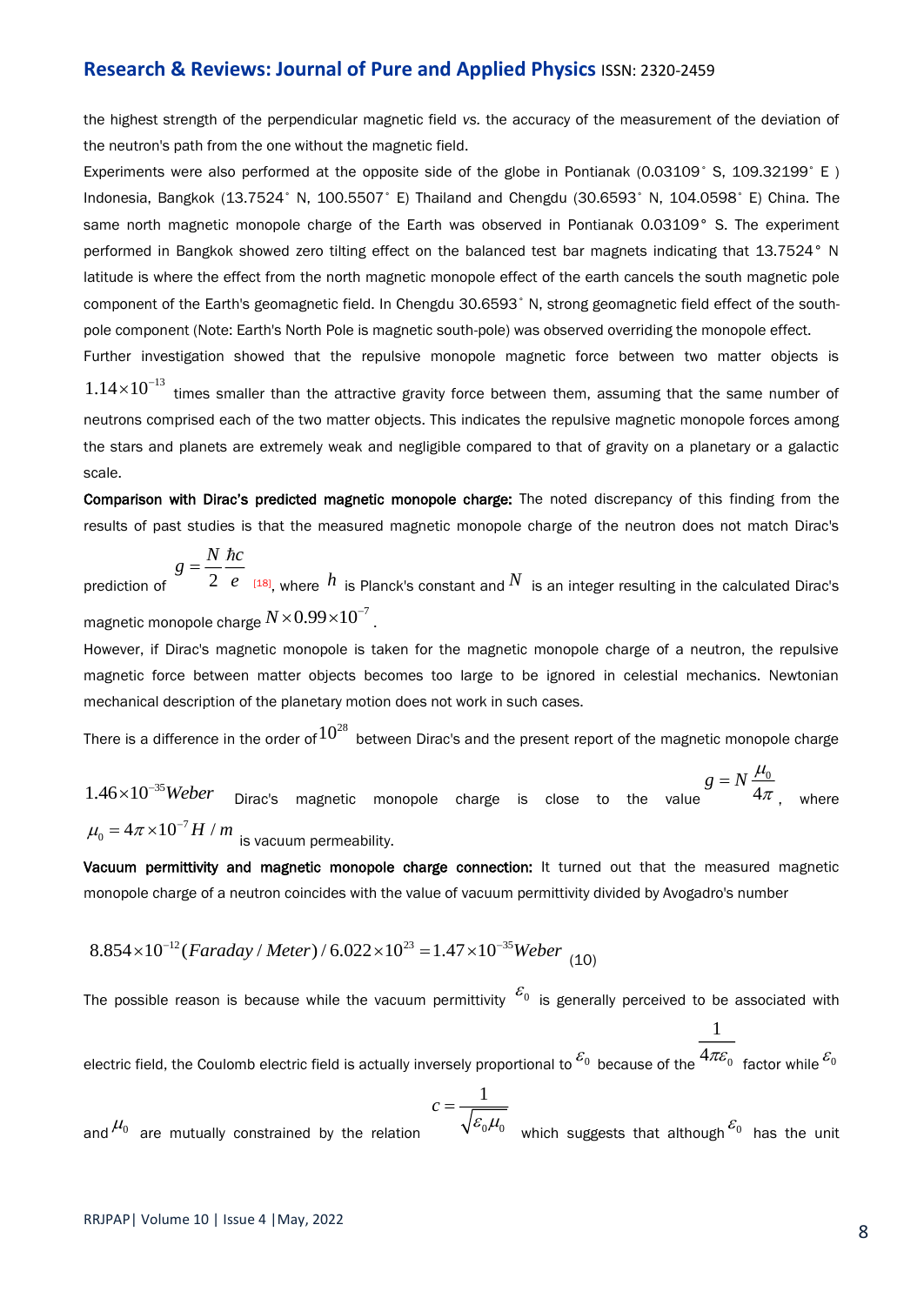the highest strength of the perpendicular magnetic field *vs.* the accuracy of the measurement of the deviation of the neutron's path from the one without the magnetic field.

Experiments were also performed at the opposite side of the globe in Pontianak (0.03109° S, 109.32199° E) Indonesia, Bangkok (13.7524° N, 100.5507° E) Thailand and Chengdu (30.6593° N, 104.0598° E) China. The same north magnetic monopole charge of the Earth was observed in Pontianak 0.03109° S. The experiment performed in Bangkok showed zero tilting effect on the balanced test bar magnets indicating that 13.7524° N latitude is where the effect from the north magnetic monopole effect of the earth cancels the south magnetic pole component of the Earth's geomagnetic field. In Chengdu 30.6593° N, strong geomagnetic field effect of the southpole component (Note: Earth's North Pole is magnetic south-pole) was observed overriding the monopole effect.

 $1.14{\times}10^{-13}$  times smaller than the attractive gravity force between them, assuming that the same number of neutrons comprised each of the two matter objects. This indicates the repulsive magnetic monopole forces among the stars and planets are extremely weak and negligible compared to that of gravity on a planetary or a galactic scale.

Further investigation showed that the repulsive monopole magnetic force between two matter objects is

Comparison with Dirac's predicted magnetic monopole charge: The noted discrepancy of this finding from the results of past studies is that the measured magnetic monopole charge of the neutron does not match Dirac's

$$
g = \frac{N}{2} \frac{\hbar c}{e}
$$

pre  $h$  is Planck's constant and  $N$  is an integer resulting in the calculated Dirac's magnetic monopole charge  $N{\times}0.99{\times}10^{-7}$  .

However, if Dirac's magnetic monopole is taken for the magnetic monopole charge of a neutron, the repulsive magnetic force between matter objects becomes too large to be ignored in celestial mechanics. Newtonian mechanical description of the planetary motion does not work in such cases. *g* Principal<br> *g* Principal<br> *g* Principal<br> *g* encodes<br> *g* encodes<br> *g* =  $N \frac{\mu_0}{4\pi}$ , where

There is a difference in the order of  $10^{28}$  between Dirac's and the present report of the magnetic monopole charge

<sup>35</sup> 1.46 10 *Weber* Dirac's magnetic monopole charge is close to the value 0  $=N\frac{\mu_0}{4\pi}$  where , where  $\mu_{\text{o}} = 4\pi \! \times \! 10^{-7} H$  /  $m$  <sub>is vacuum permeability.</sub>

Vacuum permittivity and magnetic monopole charge connection: It turned out that the measured magnetic monopole charge of a neutron coincides with the value of vacuum permittivity divided by Avogadro's number

$$
8.854 \times 10^{-12} (Faraday / \text{Meter}) / 6.022 \times 10^{23} = 1.47 \times 10^{-35} \text{Weber}
$$
 (10)

The possible reason is because while the vacuum permittivity  $^{\mathcal{E}_0}$  is generally perceived to be associated with

electric field, the Coulomb electric field is actually inversely proportional to  $^{\mathcal{E}_0}$  because of the  $^{4\pi\mathcal{E}_0}$  factor while  $^{\mathcal{E}_0}$  $\mathcal{E}_0$ 

and  $\mu_{0}^{\prime}$  are mutually constrained by the relation  $0^{\mu\nu}0$  which ourcontage  $c = \frac{1}{\sqrt{1 - \frac{1}{c^2}}}$  $\mathcal{E}_0\mu_0$  which surfaces that although  $\mathcal{E}_0$  is which suggests that although $^{\mathcal{E}_0}$  has the unit

 $1$  and  $1$  and  $1$  and  $1$  and  $1$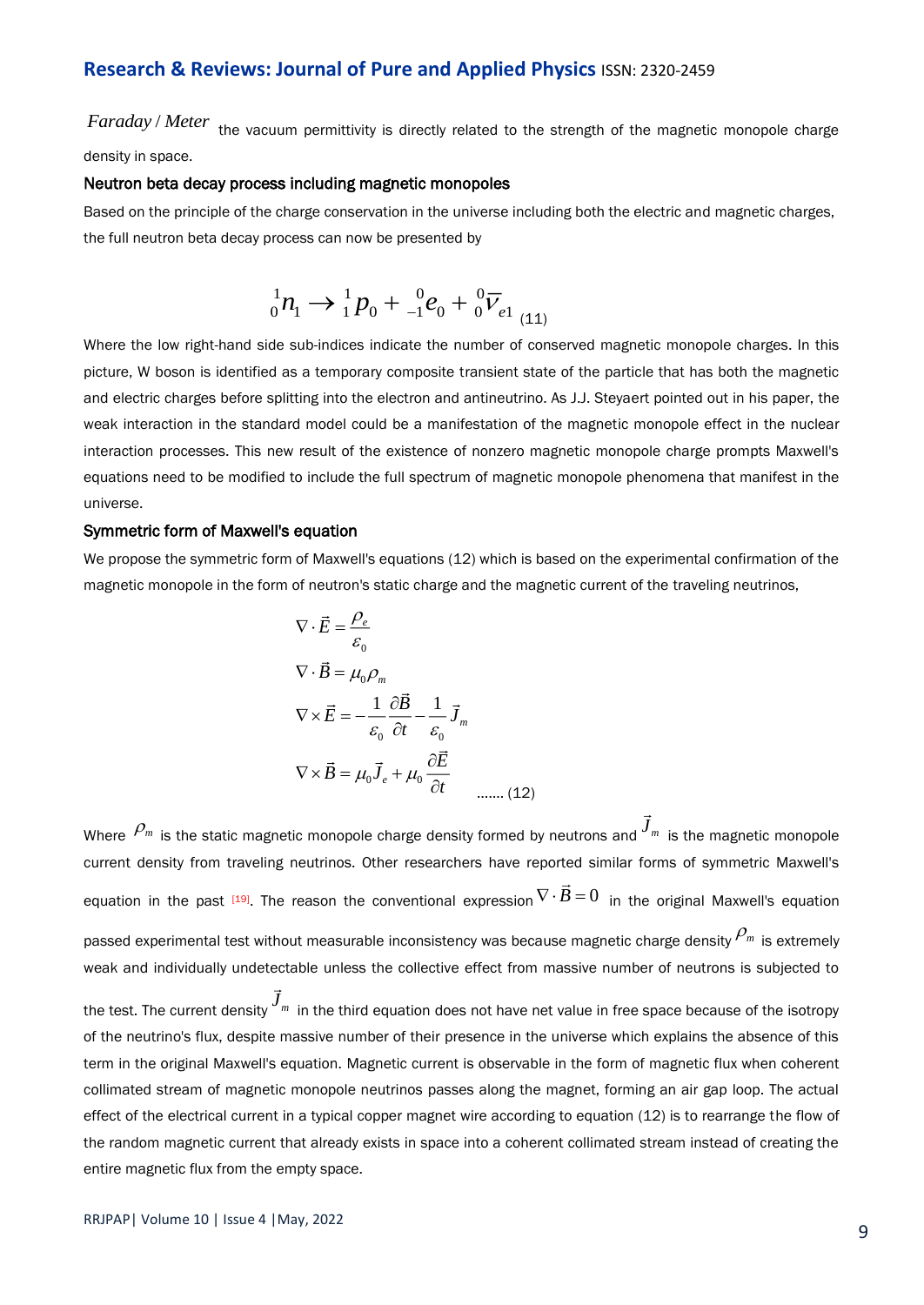Faraday / Meter the vacuum permittivity is directly related to the strength of the magnetic monopole charge density in space.

#### Neutron beta decay process including magnetic monopoles

Based on the principle of the charge conservation in the universe including both the electric and magnetic charges, the full neutron beta decay process can now be presented by

$$
{}_{0}^{1}n_{1} \rightarrow {}_{1}^{1}p_{0} + {}_{-1}^{0}e_{0} + {}_{0}^{0}\overline{V}_{e1} {}_{(11)}
$$

Where the low right-hand side sub-indices indicate the number of conserved magnetic monopole charges. In this picture, W boson is identified as a temporary composite transient state of the particle that has both the magnetic and electric charges before splitting into the electron and antineutrino. As J.J. Steyaert pointed out in his paper, the weak interaction in the standard model could be a manifestation of the magnetic monopole effect in the nuclear interaction processes. This new result of the existence of nonzero magnetic monopole charge prompts Maxwell's equations need to be modified to include the full spectrum of magnetic monopole phenomena that manifest in the universe.

#### Symmetric form of Maxwell's equation

We propose the symmetric form of Maxwell's equations (12) which is based on the experimental confirmation of the magnetic monopole in the form of neutron's static charge and the magnetic current of the traveling neutrinos,

$$
\nabla \cdot \vec{E} = \frac{\rho_e}{\varepsilon_0}
$$
  
\n
$$
\nabla \cdot \vec{B} = \mu_0 \rho_m
$$
  
\n
$$
\nabla \times \vec{E} = -\frac{1}{\varepsilon_0} \frac{\partial \vec{B}}{\partial t} - \frac{1}{\varepsilon_0} \vec{J}_m
$$
  
\n
$$
\nabla \times \vec{B} = \mu_0 \vec{J}_e + \mu_0 \frac{\partial \vec{E}}{\partial t}
$$
 ...... (12)

Where  $\mathcal{P}_m$  is the static magnetic monopole charge density formed by neutrons and  $J_m$  is the magnetic monopole current density from traveling neutrinos. Other researchers have reported similar forms of symmetric Maxwell's equation in the past  $[19]$ . The reason the conventional expression  $V \cdot B = 0$  in the original Maxwell's equation by neutrons and  $\vec{J}_m$  is the magnetic monopole<br>
eported similar forms of symmetric Maxwell's<br>  $\nabla \cdot \vec{B} = 0$  in the original Maxwell's equation<br>
ause magnetic charge density  $\rho_m$  is extremely passed experimental test without measurable inconsistency was because magnetic charge density  $\mathcal{P}_m$  is extremely weak and individually undetectable unless the collective effect from massive number of neutrons is subjected to

the test. The current density  $J_m$  in the third equation does not have net value in free space because of the isotropy of the neutrino's flux, despite massive number of their presence in the universe which explains the absence of this term in the original Maxwell's equation. Magnetic current is observable in the form of magnetic flux when coherent collimated stream of magnetic monopole neutrinos passes along the magnet, forming an air gap loop. The actual effect of the electrical current in a typical copper magnet wire according to equation (12) is to rearrange the flow of the random magnetic current that already exists in space into a coherent collimated stream instead of creating the entire magnetic flux from the empty space.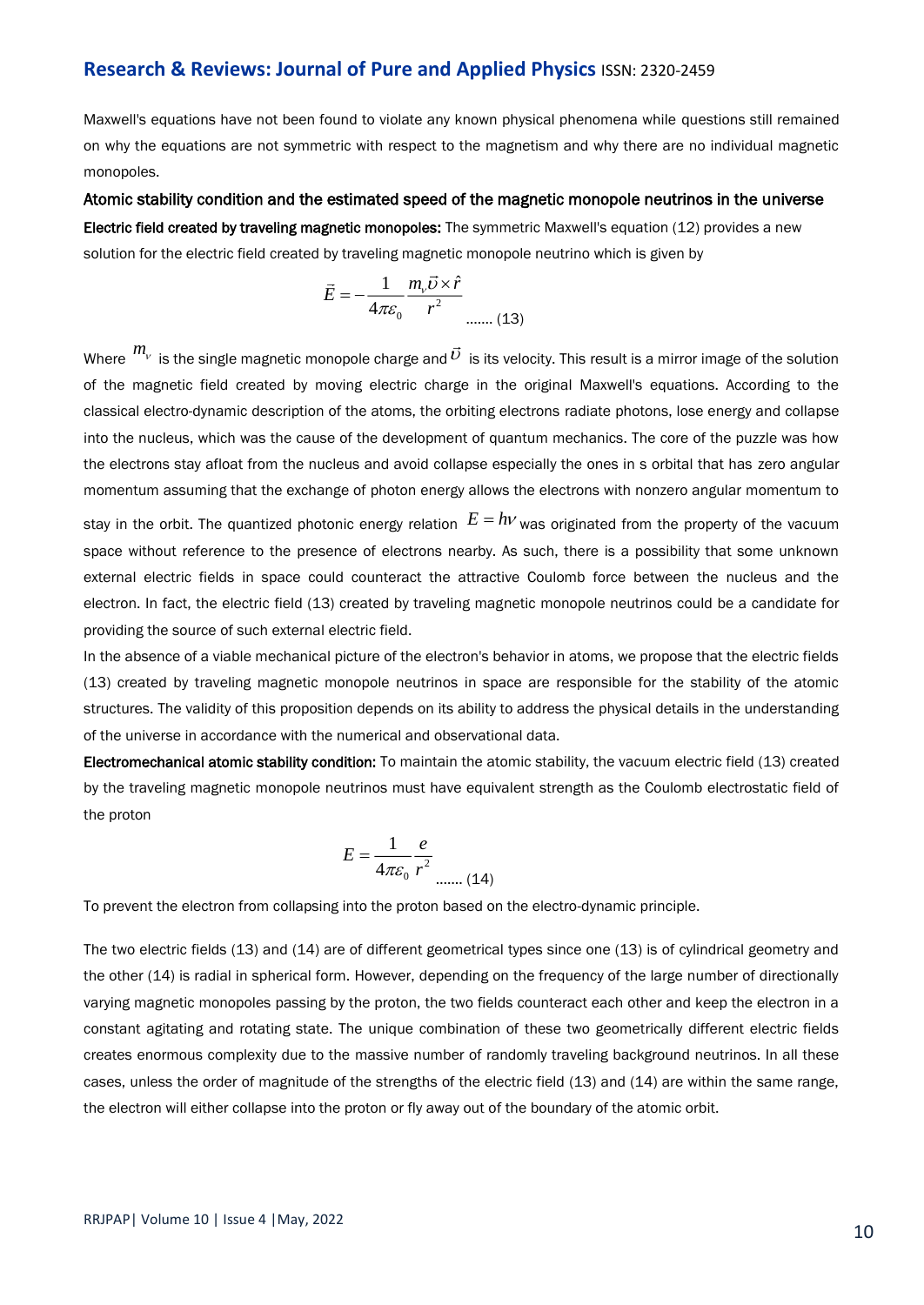Maxwell's equations have not been found to violate any known physical phenomena while questions still remained on why the equations are not symmetric with respect to the magnetism and why there are no individual magnetic monopoles.

Atomic stability condition and the estimated speed of the magnetic monopole neutrinos in the universe Electric field created by traveling magnetic monopoles: The symmetric Maxwell's equation (12) provides a new solution for the electric field created by traveling magnetic monopole neutrino which is given by

$$
\vec{E} = -\frac{1}{4\pi\varepsilon_0} \frac{m_v \vec{U} \times \hat{r}}{r^2}
$$
 ...... (13)

Where  $\ ^{m_\nu}$  is the single magnetic monopole charge and  $\vec{\nu} \,$  is its velocity. This result is a mirror image of the solution of the magnetic field created by moving electric charge in the original Maxwell's equations. According to the classical electro-dynamic description of the atoms, the orbiting electrons radiate photons, lose energy and collapse into the nucleus, which was the cause of the development of quantum mechanics. The core of the puzzle was how the electrons stay afloat from the nucleus and avoid collapse especially the ones in s orbital that has zero angular momentum assuming that the exchange of photon energy allows the electrons with nonzero angular momentum to stay in the orbit. The quantized photonic energy relation  $\,E=h\nu$  was originated from the property of the vacuum space without reference to the presence of electrons nearby. As such, there is a possibility that some unknown external electric fields in space could counteract the attractive Coulomb force between the nucleus and the electron. In fact, the electric field (13) created by traveling magnetic monopole neutrinos could be a candidate for providing the source of such external electric field.

In the absence of a viable mechanical picture of the electron's behavior in atoms, we propose that the electric fields (13) created by traveling magnetic monopole neutrinos in space are responsible for the stability of the atomic structures. The validity of this proposition depends on its ability to address the physical details in the understanding of the universe in accordance with the numerical and observational data.

Electromechanical atomic stability condition: To maintain the atomic stability, the vacuum electric field (13) created by the traveling magnetic monopole neutrinos must have equivalent strength as the Coulomb electrostatic field of the proton

$$
E = \frac{1}{4\pi\varepsilon_0} \frac{e}{r^2}
$$
 (14)

To prevent the electron from collapsing into the proton based on the electro-dynamic principle.

The two electric fields (13) and (14) are of different geometrical types since one (13) is of cylindrical geometry and the other (14) is radial in spherical form. However, depending on the frequency of the large number of directionally varying magnetic monopoles passing by the proton, the two fields counteract each other and keep the electron in a constant agitating and rotating state. The unique combination of these two geometrically different electric fields creates enormous complexity due to the massive number of randomly traveling background neutrinos. In all these cases, unless the order of magnitude of the strengths of the electric field (13) and (14) are within the same range, the electron will either collapse into the proton or fly away out of the boundary of the atomic orbit.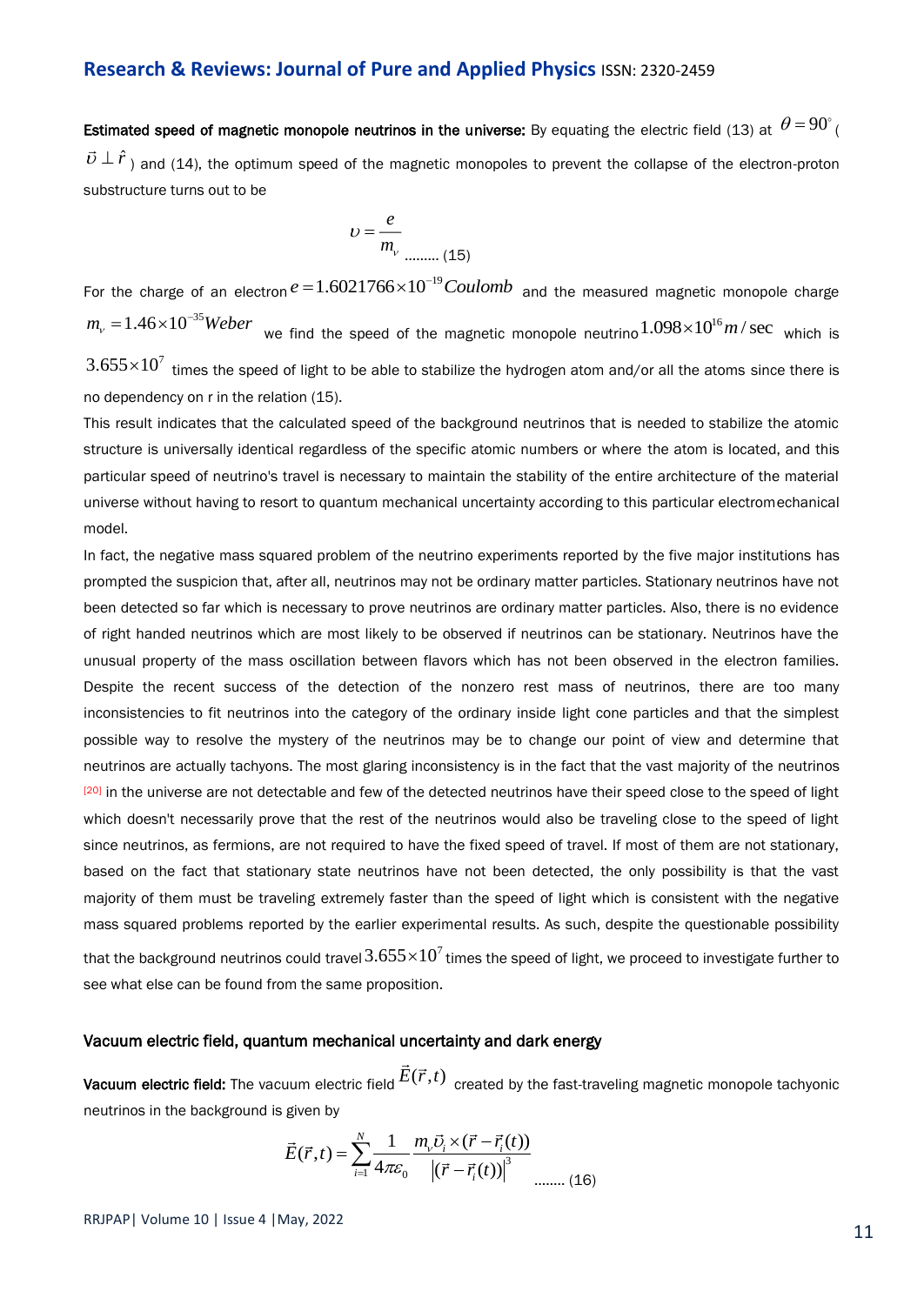Estimated speed of magnetic monopole neutrinos in the universe: By equating the electric field (13) at  $\,\theta$  = 90 $^{\circ}$  (  $\vec{v} \perp \hat{r}$ ) and (14), the optimum speed of the magnetic monopoles to prevent the collapse of the electron-proton substructure turns out to be

$$
U = \frac{e}{m_v}
$$
 (15)

For the charge of an electron  $e = 1.6021766 \times 10^{-19} Coulomb$  and the measured magnetic monopole charge  $m_{_V}$  =  $1.46{\times}10^{-35}$ Weber  $\,$  we find the speed of the magnetic monopole neutrino  $1.098{\times}10^{16}$  m  $/$  sec  $\,$  which is  $3.655{\times}10^7$  times the speed of light to be able to stabilize the hydrogen atom and/or all the atoms since there is no dependency on r in the relation (15).

This result indicates that the calculated speed of the background neutrinos that is needed to stabilize the atomic structure is universally identical regardless of the specific atomic numbers or where the atom is located, and this particular speed of neutrino's travel is necessary to maintain the stability of the entire architecture of the material universe without having to resort to quantum mechanical uncertainty according to this particular electromechanical model.

In fact, the negative mass squared problem of the neutrino experiments reported by the five major institutions has prompted the suspicion that, after all, neutrinos may not be ordinary matter particles. Stationary neutrinos have not been detected so far which is necessary to prove neutrinos are ordinary matter particles. Also, there is no evidence of right handed neutrinos which are most likely to be observed if neutrinos can be stationary. Neutrinos have the unusual property of the mass oscillation between flavors which has not been observed in the electron families. Despite the recent success of the detection of the nonzero rest mass of neutrinos, there are too many inconsistencies to fit neutrinos into the category of the ordinary inside light cone particles and that the simplest possible way to resolve the mystery of the neutrinos may be to change our point of view and determine that neutrinos are actually tachyons. The most glaring inconsistency is in the fact that the vast majority of the neutrinos <sup>[20]</sup> in the universe are not detectable and few of the detected neutrinos have their speed close to the speed of light which doesn't necessarily prove that the rest of the neutrinos would also be traveling close to the speed of light since neutrinos, as fermions, are not required to have the fixed speed of travel. If most of them are not stationary, based on the fact that stationary state neutrinos have not been detected, the only possibility is that the vast majority of them must be traveling extremely faster than the speed of light which is consistent with the negative mass squared problems reported by the earlier experimental results. As such, despite the questionable possibility that the background neutrinos could travel  $3.655{\times}10^7$  times the speed of light, we proceed to investigate further to see what else can be found from the same proposition.

#### Vacuum electric field, quantum mechanical uncertainty and dark energy

**Vacuum electric field:** The vacuum electric field  $E(\vec{r},t)$  created by the fast-traveling magnetic monopole tachyonic neutrinos in the background is given by

$$
\vec{E}(\vec{r},t) = \sum_{i=1}^{N} \frac{1}{4\pi \varepsilon_0} \frac{m_v \vec{v}_i \times (\vec{r} - \vec{r}_i(t))}{\left| (\vec{r} - \vec{r}_i(t)) \right|^3}
$$
 ...... (16)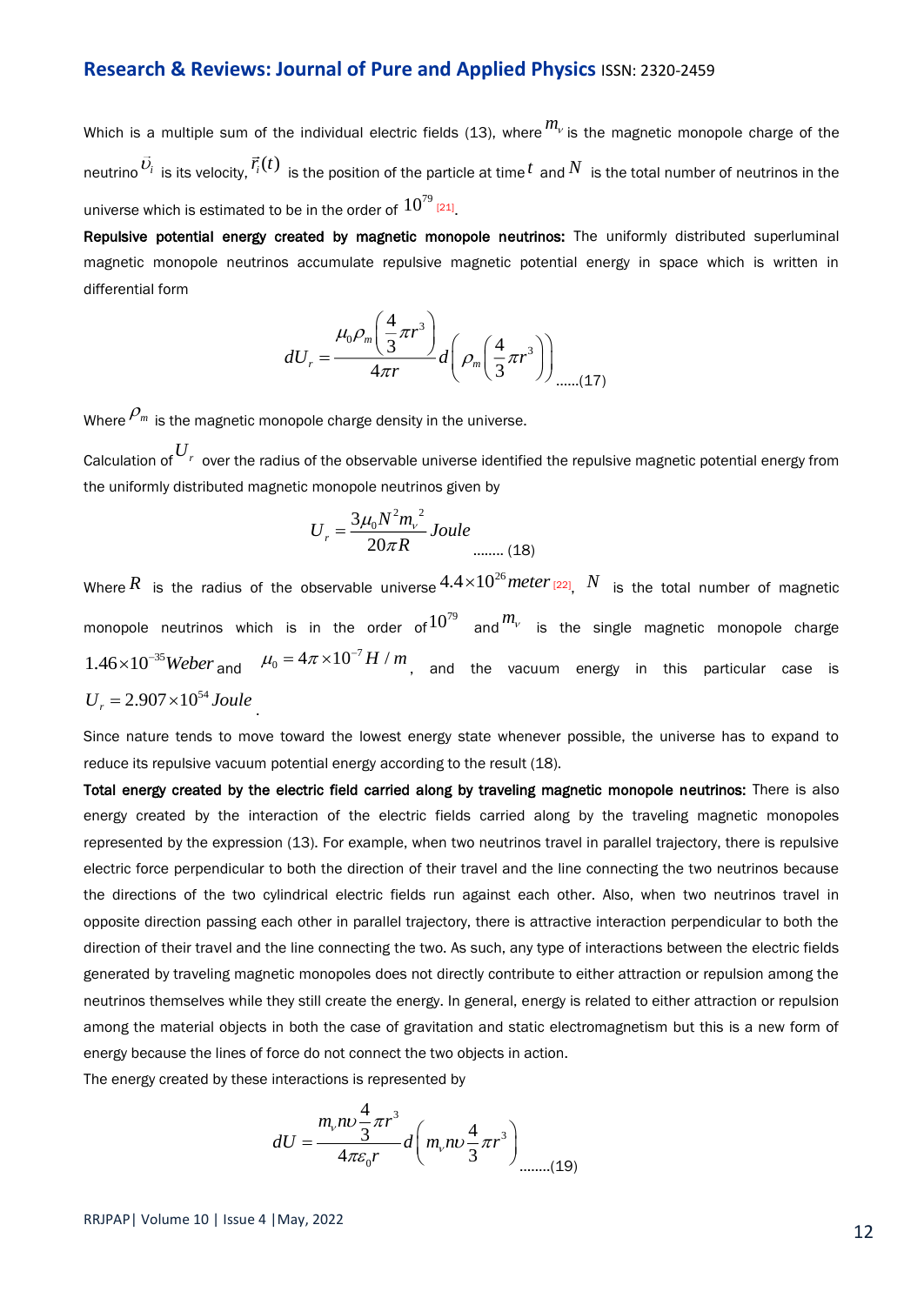Which is a multiple sum of the individual electric fields (13), where  $m_\nu$  is the magnetic monopole charge of the neutrino  $\vec{v_i}$  is its velocity,  $\vec{r_i}(t)$  is the position of the particle at time  $^t$  and  $N$  is the total number of neutrinos in the universe which is estimated to be in the order of  $10^{79}$   $_{\left[21\right]}$ 

Repulsive potential energy created by magnetic monopole neutrinos: The uniformly distributed superluminal magnetic monopole neutrinos accumulate repulsive magnetic potential energy in space which is written in differential form

$$
dU_r = \frac{\mu_0 \rho_m \left(\frac{4}{3}\pi r^3\right)}{4\pi r} d\left(\rho_m \left(\frac{4}{3}\pi r^3\right)\right)_{\dots \dots (17)}
$$

Where  $\mathcal{P}_m$  is the magnetic monopole charge density in the universe.

Calculation of *U<sup>r</sup>* over the radius of the observable universe identified the repulsive magnetic potential energy from the uniformly distributed magnetic monopole neutrinos given by

$$
U_r = \frac{3\mu_0 N^2 m_v^2}{20\pi R} \text{Joule}_{\text{num. (18)}}
$$

Where  $R$  is the radius of the observable universe $^{4.4\times10^{26}$  meter <sub>[22],</sub>  $N$  is the total number of magnetic monopole neutrinos which is in the order of  $10^{79}$  and  $m_{\scriptscriptstyle V}$  is the single magnetic monopole charge  $1.46{\times}10^{-35}$ Weber <sub>and</sub>  $\mu_{\rm 0} = 4\pi{\times}10^{-7}$  H  $\!/$  m , and the vacuum energy in this particular case is  $U_r = 2.907 \times 10^{54}$  Joule

Since nature tends to move toward the lowest energy state whenever possible, the universe has to expand to reduce its repulsive vacuum potential energy according to the result (18).

Total energy created by the electric field carried along by traveling magnetic monopole neutrinos: There is also energy created by the interaction of the electric fields carried along by the traveling magnetic monopoles represented by the expression (13). For example, when two neutrinos travel in parallel trajectory, there is repulsive electric force perpendicular to both the direction of their travel and the line connecting the two neutrinos because the directions of the two cylindrical electric fields run against each other. Also, when two neutrinos travel in opposite direction passing each other in parallel trajectory, there is attractive interaction perpendicular to both the direction of their travel and the line connecting the two. As such, any type of interactions between the electric fields generated by traveling magnetic monopoles does not directly contribute to either attraction or repulsion among the neutrinos themselves while they still create the energy. In general, energy is related to either attraction or repulsion among the material objects in both the case of gravitation and static electromagnetism but this is a new form of energy because the lines of force do not connect the two objects in action.

The energy created by these interactions is represented by

$$
dU = \frac{m_{v}nv\frac{4}{3}\pi r^{3}}{4\pi\varepsilon_{0}r}d\left(m_{v}nv\frac{4}{3}\pi r^{3}\right)_{\dots} (19)
$$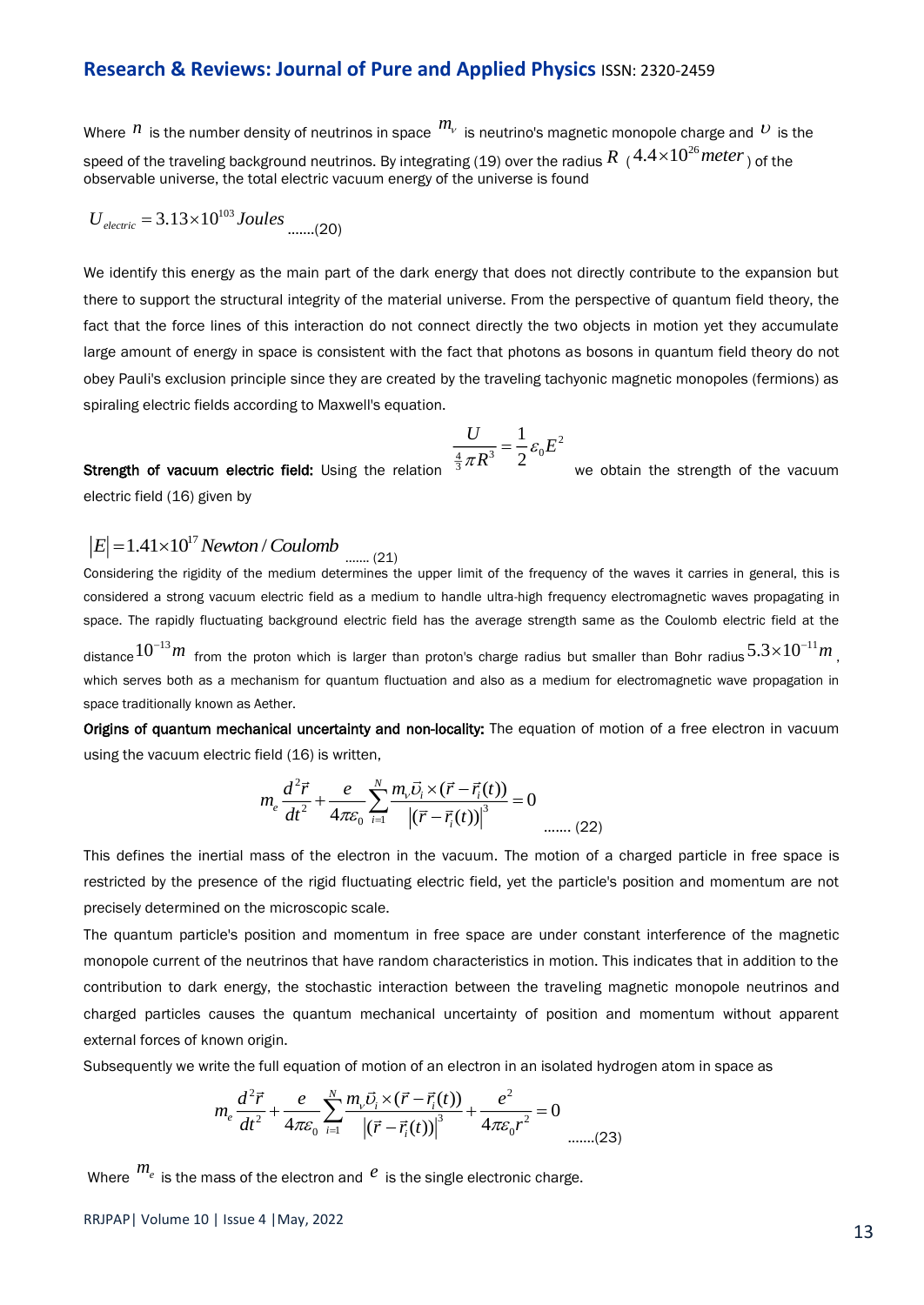Where  $^{\prime\prime}$  is the number density of neutrinos in space  $^{\prime\prime\prime}$  is neutrino's magnetic monopole charge and  $^{\prime\prime}$  is the speed of the traveling background neutrinos. By integrating (19) over the radius  $R$   $\,$  (  $^{4.4\times 10^{26} }$  *meter*  $)$  of the observable universe, the total electric vacuum energy of the universe is found

$$
U_{electric} = 3.13 \times 10^{103} Joules
$$
 ......(20)

We identify this energy as the main part of the dark energy that does not directly contribute to the expansion but there to support the structural integrity of the material universe. From the perspective of quantum field theory, the fact that the force lines of this interaction do not connect directly the two objects in motion yet they accumulate large amount of energy in space is consistent with the fact that photons as bosons in quantum field theory do not obey Pauli's exclusion principle since they are created by the traveling tachyonic magnetic monopoles (fermions) as spiraling electric fields according to Maxwell's equation.

$$
\frac{U}{\frac{4}{3}\pi R^3} = \frac{1}{2}\varepsilon_0 E^2
$$

Strength of vacuum electric field: Using the relation  $^{-\frac{4}{3}}\pi R$ we obtain the strength of the vacuum electric field (16) given by

#### $|E| = 1.41 \times 10^{17}$  *Newton* / Coulomb ……. (21)

Considering the rigidity of the medium determines the upper limit of the frequency of the waves it carries in general, this is considered a strong vacuum electric field as a medium to handle ultra-high frequency electromagnetic waves propagating in space. The rapidly fluctuating background electric field has the average strength same as the Coulomb electric field at the distance $10^{-13}m$  from the proton which is larger than proton's charge radius but smaller than Bohr radius $5.3{\times}10^{-11}m$  , , where  $\mathcal{L}$ which serves both as a mechanism for quantum fluctuation and also as a medium for electromagnetic wave propagation in space traditionally known as Aether.

Origins of quantum mechanical uncertainty and non-locality: The equation of motion of a free electron in vacuum using the vacuum electric field (16) is written,

$$
m_e \frac{d^2 \vec{r}}{dt^2} + \frac{e}{4\pi \varepsilon_0} \sum_{i=1}^N \frac{m_v \vec{U}_i \times (\vec{r} - \vec{r}_i(t))}{|\left(\vec{r} - \vec{r}_i(t)\right)|^3} = 0
$$
 ...... (22)

This defines the inertial mass of the electron in the vacuum. The motion of a charged particle in free space is restricted by the presence of the rigid fluctuating electric field, yet the particle's position and momentum are not precisely determined on the microscopic scale.

The quantum particle's position and momentum in free space are under constant interference of the magnetic monopole current of the neutrinos that have random characteristics in motion. This indicates that in addition to the contribution to dark energy, the stochastic interaction between the traveling magnetic monopole neutrinos and charged particles causes the quantum mechanical uncertainty of position and momentum without apparent external forces of known origin.

Subsequently we write the full equation of motion of an electron in an isolated hydrogen atom in space as

$$
m_e \frac{d^2 \vec{r}}{dt^2} + \frac{e}{4\pi \varepsilon_0} \sum_{i=1}^N \frac{m_v \vec{v}_i \times (\vec{r} - \vec{r}_i(t))}{\left| (\vec{r} - \vec{r}_i(t)) \right|^3} + \frac{e^2}{4\pi \varepsilon_0 r^2} = 0
$$
 ......(23)

Where  $\frac{m_e}{m_e}$  is the mass of the electron and  $\frac{e}{m_e}$  is the single electronic charge.

RRJPAP| Volume 10 | Issue 4 |May, 2022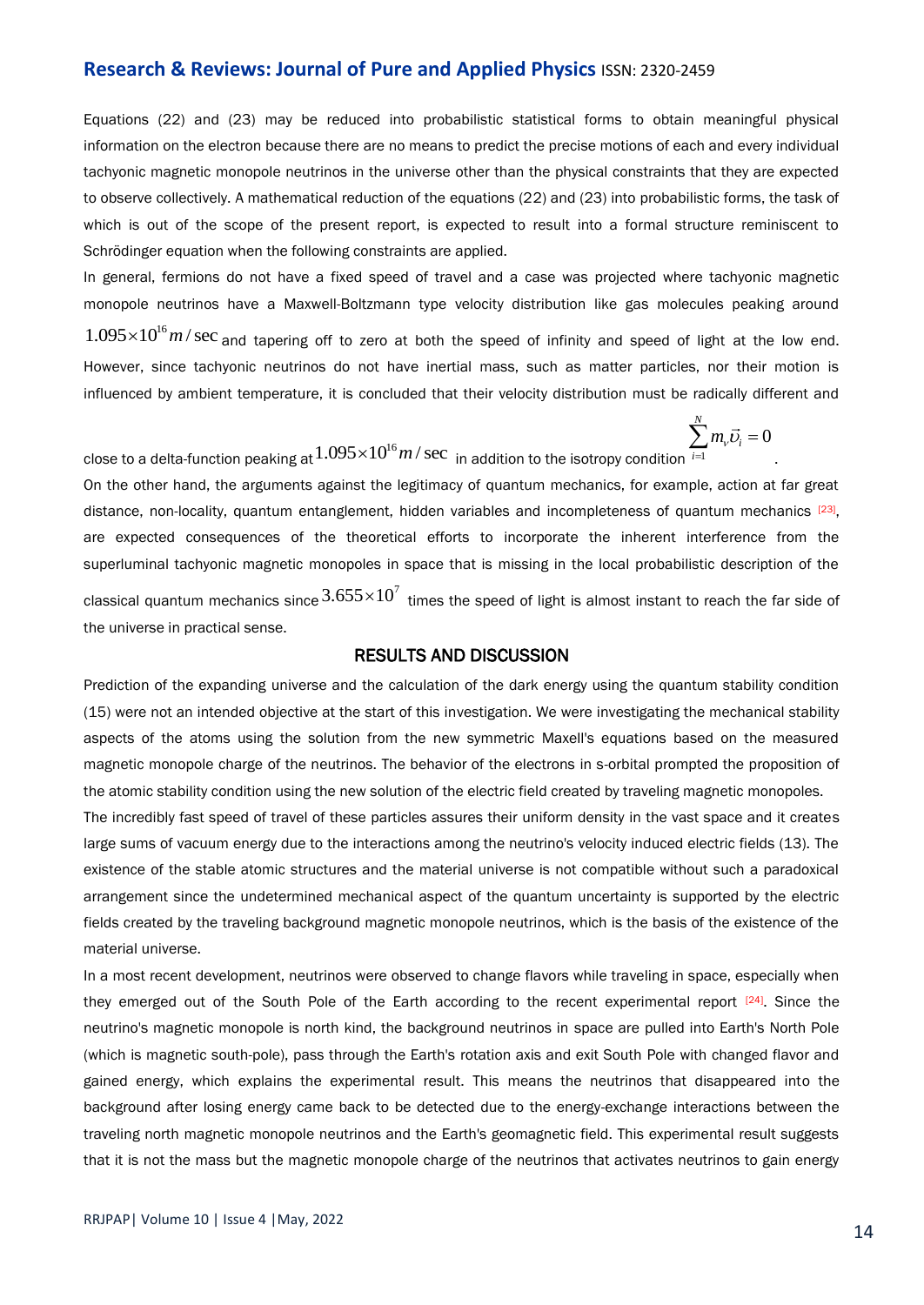Equations (22) and (23) may be reduced into probabilistic statistical forms to obtain meaningful physical information on the electron because there are no means to predict the precise motions of each and every individual tachyonic magnetic monopole neutrinos in the universe other than the physical constraints that they are expected to observe collectively. A mathematical reduction of the equations (22) and (23) into probabilistic forms, the task of which is out of the scope of the present report, is expected to result into a formal structure reminiscent to Schrödinger equation when the following constraints are applied.

In general, fermions do not have a fixed speed of travel and a case was projected where tachyonic magnetic monopole neutrinos have a Maxwell-Boltzmann type velocity distribution like gas molecules peaking around

 $1.095\times 10^{16} m/\sec$  and tapering off to zero at both the speed of infinity and speed of light at the low end. However, since tachyonic neutrinos do not have inertial mass, such as matter particles, nor their motion is influenced by ambient temperature, it is concluded that their velocity distribution must be radically different and

$$
\sum_{i=1}^N m_i \vec{v}_i = 0
$$

.

close to a delta-function peaking at  $1.095{\times}10^{16}m/\,\text{sec}$  <sub>in addition to the isotropy condition  $\overset{\text{rel}}{=}$ </sub>

On the other hand, the arguments against the legitimacy of quantum mechanics, for example, action at far great distance, non-locality, quantum entanglement, hidden variables and incompleteness of quantum mechanics [23], are expected consequences of the theoretical efforts to incorporate the inherent interference from the superluminal tachyonic magnetic monopoles in space that is missing in the local probabilistic description of the classical quantum mechanics since  $3.655\times10^7\,$  times the speed of light is almost instant to reach the far side of the universe in practical sense.

#### RESULTS AND DISCUSSION

Prediction of the expanding universe and the calculation of the dark energy using the quantum stability condition (15) were not an intended objective at the start of this investigation. We were investigating the mechanical stability aspects of the atoms using the solution from the new symmetric Maxell's equations based on the measured magnetic monopole charge of the neutrinos. The behavior of the electrons in s-orbital prompted the proposition of the atomic stability condition using the new solution of the electric field created by traveling magnetic monopoles.

The incredibly fast speed of travel of these particles assures their uniform density in the vast space and it creates large sums of vacuum energy due to the interactions among the neutrino's velocity induced electric fields (13). The existence of the stable atomic structures and the material universe is not compatible without such a paradoxical arrangement since the undetermined mechanical aspect of the quantum uncertainty is supported by the electric fields created by the traveling background magnetic monopole neutrinos, which is the basis of the existence of the material universe.

In a most recent development, neutrinos were observed to change flavors while traveling in space, especially when they emerged out of the South Pole of the Earth according to the recent experimental report  $[24]$ . Since the neutrino's magnetic monopole is north kind, the background neutrinos in space are pulled into Earth's North Pole (which is magnetic south-pole), pass through the Earth's rotation axis and exit South Pole with changed flavor and gained energy, which explains the experimental result. This means the neutrinos that disappeared into the background after losing energy came back to be detected due to the energy-exchange interactions between the traveling north magnetic monopole neutrinos and the Earth's geomagnetic field. This experimental result suggests that it is not the mass but the magnetic monopole charge of the neutrinos that activates neutrinos to gain energy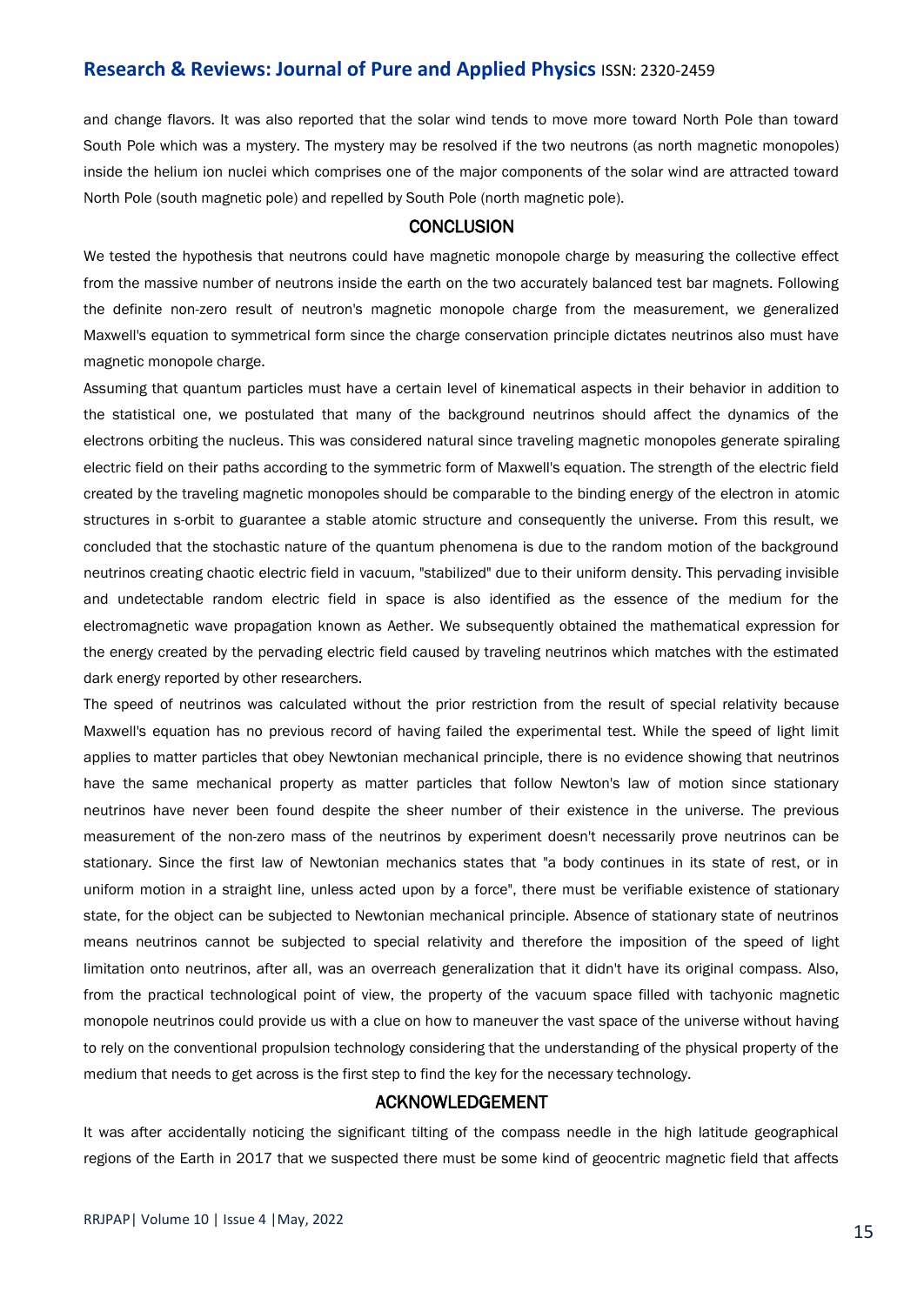and change flavors. It was also reported that the solar wind tends to move more toward North Pole than toward South Pole which was a mystery. The mystery may be resolved if the two neutrons (as north magnetic monopoles) inside the helium ion nuclei which comprises one of the major components of the solar wind are attracted toward North Pole (south magnetic pole) and repelled by South Pole (north magnetic pole).

#### **CONCLUSION**

We tested the hypothesis that neutrons could have magnetic monopole charge by measuring the collective effect from the massive number of neutrons inside the earth on the two accurately balanced test bar magnets. Following the definite non-zero result of neutron's magnetic monopole charge from the measurement, we generalized Maxwell's equation to symmetrical form since the charge conservation principle dictates neutrinos also must have magnetic monopole charge.

Assuming that quantum particles must have a certain level of kinematical aspects in their behavior in addition to the statistical one, we postulated that many of the background neutrinos should affect the dynamics of the electrons orbiting the nucleus. This was considered natural since traveling magnetic monopoles generate spiraling electric field on their paths according to the symmetric form of Maxwell's equation. The strength of the electric field created by the traveling magnetic monopoles should be comparable to the binding energy of the electron in atomic structures in s-orbit to guarantee a stable atomic structure and consequently the universe. From this result, we concluded that the stochastic nature of the quantum phenomena is due to the random motion of the background neutrinos creating chaotic electric field in vacuum, "stabilized" due to their uniform density. This pervading invisible and undetectable random electric field in space is also identified as the essence of the medium for the electromagnetic wave propagation known as Aether. We subsequently obtained the mathematical expression for the energy created by the pervading electric field caused by traveling neutrinos which matches with the estimated dark energy reported by other researchers.

The speed of neutrinos was calculated without the prior restriction from the result of special relativity because Maxwell's equation has no previous record of having failed the experimental test. While the speed of light limit applies to matter particles that obey Newtonian mechanical principle, there is no evidence showing that neutrinos have the same mechanical property as matter particles that follow Newton's law of motion since stationary neutrinos have never been found despite the sheer number of their existence in the universe. The previous measurement of the non-zero mass of the neutrinos by experiment doesn't necessarily prove neutrinos can be stationary. Since the first law of Newtonian mechanics states that "a body continues in its state of rest, or in uniform motion in a straight line, unless acted upon by a force", there must be verifiable existence of stationary state, for the object can be subjected to Newtonian mechanical principle. Absence of stationary state of neutrinos means neutrinos cannot be subjected to special relativity and therefore the imposition of the speed of light limitation onto neutrinos, after all, was an overreach generalization that it didn't have its original compass. Also, from the practical technological point of view, the property of the vacuum space filled with tachyonic magnetic monopole neutrinos could provide us with a clue on how to maneuver the vast space of the universe without having to rely on the conventional propulsion technology considering that the understanding of the physical property of the medium that needs to get across is the first step to find the key for the necessary technology.

#### ACKNOWLEDGEMENT

It was after accidentally noticing the significant tilting of the compass needle in the high latitude geographical regions of the Earth in 2017 that we suspected there must be some kind of geocentric magnetic field that affects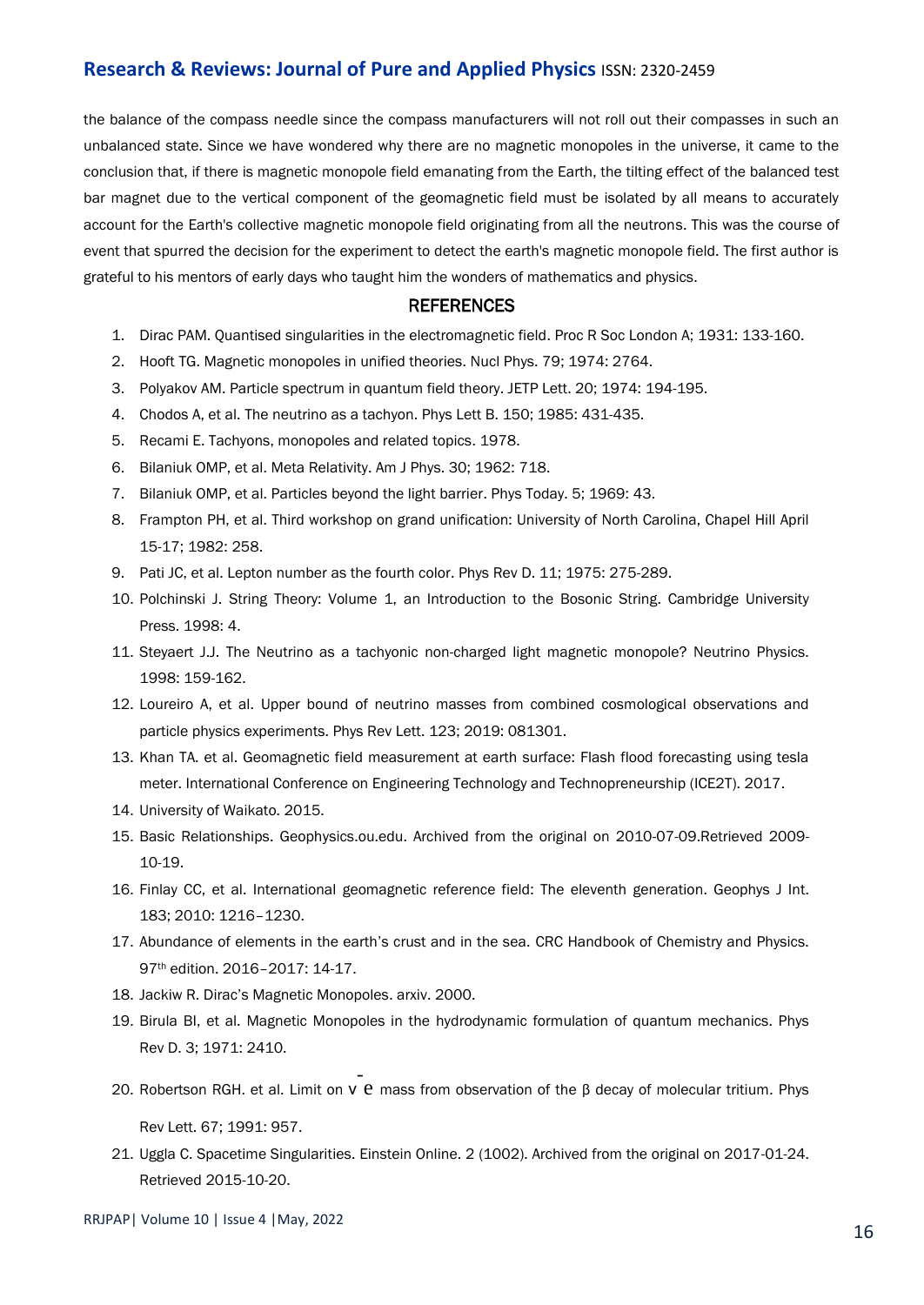the balance of the compass needle since the compass manufacturers will not roll out their compasses in such an unbalanced state. Since we have wondered why there are no magnetic monopoles in the universe, it came to the conclusion that, if there is magnetic monopole field emanating from the Earth, the tilting effect of the balanced test bar magnet due to the vertical component of the geomagnetic field must be isolated by all means to accurately account for the Earth's collective magnetic monopole field originating from all the neutrons. This was the course of event that spurred the decision for the experiment to detect the earth's magnetic monopole field. The first author is grateful to his mentors of early days who taught him the wonders of mathematics and physics.

#### **REFERENCES**

- 1. Dirac PAM. [Quantised singularities in the electromagnetic field.](https://royalsocietypublishing.org/doi/abs/10.1098/rspa.1931.0130) Proc R Soc London A; 1931: 133-160.
- 2. Hooft TG[. Magnetic monopoles in unified theories.](https://cds.cern.ch/record/416338/files/CM-P00060463.pdf) Nucl Phys. 79; 1974: 2764.
- 3. Polyakov AM. [Particle spectrum in quantum field theory.](https://inspirehep.net/literature/90679) JETP Lett. 20; 1974: 194-195.
- 4. Chodos A, et al. [The neutrino as a tachyon.](https://scholarworks.iu.edu/dspace/bitstream/handle/2022/20737/The%20neutrino%20as%20a%20tachyon.pdf;sequence=1) Phys Lett B. 150; 1985: 431-435.
- 5. Recami E[. Tachyons, monopoles and related topics.](https://www.osti.gov/etdeweb/biblio/5877407) 1978.
- 6. Bilaniuk OMP, et al. [Meta Relativity.](https://aapt.scitation.org/doi/abs/10.1119/1.1941773) Am J Phys. 30; 1962: 718.
- 7. Bilaniuk OMP, et al. [Particles beyond the light barrier.](https://www-liphy.univ-grenoble-alpes.fr/pagesperso/bahram/Relativite/Biblio/Bilaniuk_sudarshan_1969.pdf) Phys Today. 5; 1969: 43.
- 8. Frampton PH, et al. [Third workshop on grand unification: University of North Carolina, Chapel Hill April](https://www.google.co.in/books/edition/Third_Workshop_on_Grand_Unification/nIXlBwAAQBAJ?hl=en&gbpv=1&dq=Third+workshop+on+grand+unification&pg=PR7&printsec=frontcover)  [15-17;](https://www.google.co.in/books/edition/Third_Workshop_on_Grand_Unification/nIXlBwAAQBAJ?hl=en&gbpv=1&dq=Third+workshop+on+grand+unification&pg=PR7&printsec=frontcover) 1982: 258.
- 9. Pati JC, et al[. Lepton number as the fourth color.](https://journals.aps.org/prd/abstract/10.1103/PhysRevD.11.703.2) Phys Rev D. 11; 1975: 275-289.
- 10. Polchinski J. [String Theory: Volume 1, an Introduction to the Bosonic String.](https://fntic.univ-ouargla.dz/images/biblio/InfoPDF/279.pdf) Cambridge University Press. 1998: 4.
- 11. Steyaert J.J. [The Neutrino as a tachyonic non-charged light magnetic monopole?](https://link.springer.com/chapter/10.1007/978-3-642-73679-7_16#chapter-info) Neutrino Physics. 1998: 159-162.
- 12. Loureiro A, et al. [Upper bound of neutrino masses from combined cosmological observations and](https://journals.aps.org/prl/abstract/10.1103/PhysRevLett.123.081301)  [particle physics experiments.](https://journals.aps.org/prl/abstract/10.1103/PhysRevLett.123.081301) Phys Rev Lett. 123; 2019: 081301.
- 13. Khan TA. et al. [Geomagnetic field measurement at earth surface: Flash flood forecasting using tesla](https://ieeexplore.ieee.org/abstract/document/8215991)  [meter.](https://ieeexplore.ieee.org/abstract/document/8215991) International Conference on Engineering Technology and Technopreneurship (ICE2T). 2017.
- 14. University of Waikato. 2015.
- 15. Basic Relationships. Geophysics.ou.edu. Archived from the original on 2010-07-09.Retrieved 2009- 10-19.
- 16. Finlay CC, et al. [International geomagnetic reference field: The eleventh generation.](https://academic.oup.com/gji/article/183/3/1216/637157?login=true) Geophys J Int. 183; 2010: 1216–1230.
- 17. Abundance of elements in the earth's crust and in the sea. CRC Handbook of Chemistry and Physics. 97th edition. 2016–2017: 14-17.
- 18. Jackiw R. [Dirac's Magnetic Monopoles](https://arxiv.org/pdf/hep-th/0212058.pdf). arxiv. 2000.
- 19. Birula BI, et al. [Magnetic Monopoles in the hydrodynamic formulation of quantum mechanics.](https://journals.aps.org/prd/abstract/10.1103/PhysRevD.3.2410) Phys Rev D. 3; 1971: 2410.
- 20. Robertson RGH. et al. Limit on ν e [mass from observation of the β decay of molecular tritium](https://journals.aps.org/prl/abstract/10.1103/PhysRevLett.67.957). Phys Rev Lett. 67; 1991: 957.
- 21. Uggla C. Spacetime Singularities. Einstein Online. 2 (1002). Archived from the original on 2017-01-24. Retrieved 2015-10-20.